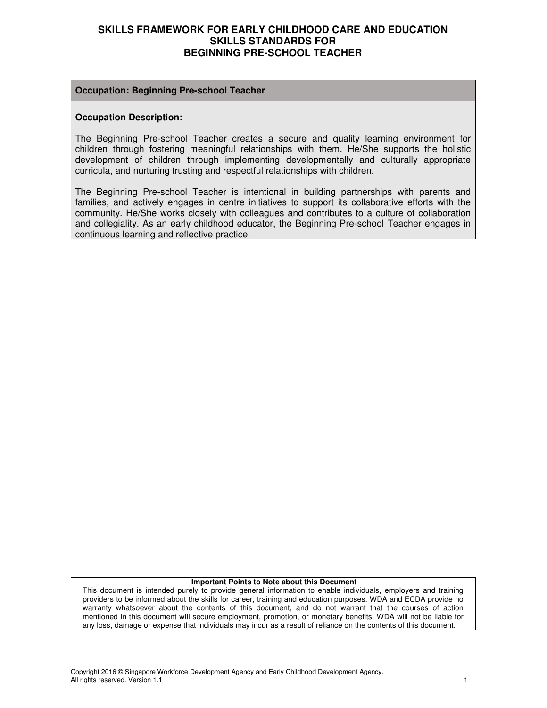#### **Occupation: Beginning Pre-school Teacher**

#### **Occupation Description:**

The Beginning Pre-school Teacher creates a secure and quality learning environment for children through fostering meaningful relationships with them. He/She supports the holistic development of children through implementing developmentally and culturally appropriate curricula, and nurturing trusting and respectful relationships with children.

The Beginning Pre-school Teacher is intentional in building partnerships with parents and families, and actively engages in centre initiatives to support its collaborative efforts with the community. He/She works closely with colleagues and contributes to a culture of collaboration and collegiality. As an early childhood educator, the Beginning Pre-school Teacher engages in continuous learning and reflective practice.

#### **Important Points to Note about this Document**

This document is intended purely to provide general information to enable individuals, employers and training providers to be informed about the skills for career, training and education purposes. WDA and ECDA provide no warranty whatsoever about the contents of this document, and do not warrant that the courses of action mentioned in this document will secure employment, promotion, or monetary benefits. WDA will not be liable for any loss, damage or expense that individuals may incur as a result of reliance on the contents of this document.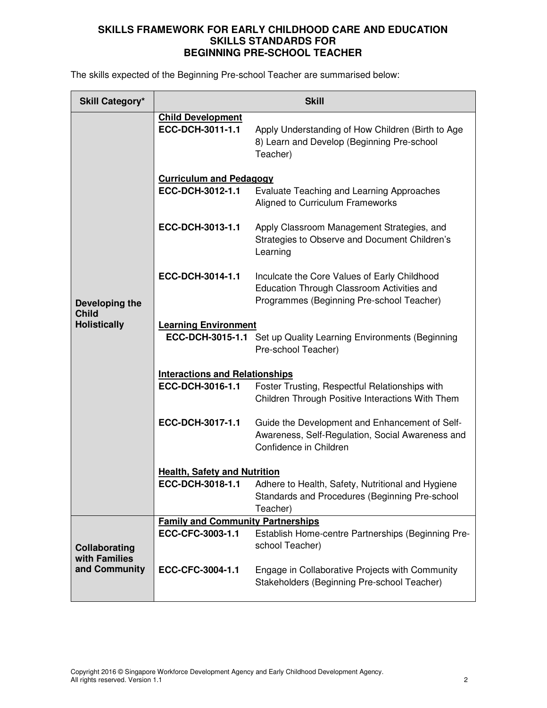The skills expected of the Beginning Pre-school Teacher are summarised below:

| <b>Skill Category*</b>                                |                                              | <b>Skill</b>                                                                                                                            |  |  |
|-------------------------------------------------------|----------------------------------------------|-----------------------------------------------------------------------------------------------------------------------------------------|--|--|
|                                                       | <b>Child Development</b><br>ECC-DCH-3011-1.1 | Apply Understanding of How Children (Birth to Age<br>8) Learn and Develop (Beginning Pre-school<br>Teacher)                             |  |  |
|                                                       | <b>Curriculum and Pedagogy</b>               |                                                                                                                                         |  |  |
| Developing the<br><b>Child</b><br><b>Holistically</b> | ECC-DCH-3012-1.1                             | Evaluate Teaching and Learning Approaches<br>Aligned to Curriculum Frameworks                                                           |  |  |
|                                                       | ECC-DCH-3013-1.1                             | Apply Classroom Management Strategies, and<br>Strategies to Observe and Document Children's<br>Learning                                 |  |  |
|                                                       | ECC-DCH-3014-1.1                             | Inculcate the Core Values of Early Childhood<br>Education Through Classroom Activities and<br>Programmes (Beginning Pre-school Teacher) |  |  |
|                                                       | <b>Learning Environment</b>                  | ECC-DCH-3015-1.1 Set up Quality Learning Environments (Beginning<br>Pre-school Teacher)                                                 |  |  |
|                                                       | <b>Interactions and Relationships</b>        |                                                                                                                                         |  |  |
|                                                       | ECC-DCH-3016-1.1                             | Foster Trusting, Respectful Relationships with<br>Children Through Positive Interactions With Them                                      |  |  |
|                                                       | ECC-DCH-3017-1.1                             | Guide the Development and Enhancement of Self-<br>Awareness, Self-Regulation, Social Awareness and<br>Confidence in Children            |  |  |
|                                                       | <b>Health, Safety and Nutrition</b>          |                                                                                                                                         |  |  |
|                                                       | ECC-DCH-3018-1.1                             | Adhere to Health, Safety, Nutritional and Hygiene<br>Standards and Procedures (Beginning Pre-school<br>Teacher)                         |  |  |
|                                                       | <b>Family and Community Partnerships</b>     |                                                                                                                                         |  |  |
| Collaborating<br>with Families                        | ECC-CFC-3003-1.1                             | Establish Home-centre Partnerships (Beginning Pre-<br>school Teacher)                                                                   |  |  |
| and Community                                         | ECC-CFC-3004-1.1                             | Engage in Collaborative Projects with Community<br>Stakeholders (Beginning Pre-school Teacher)                                          |  |  |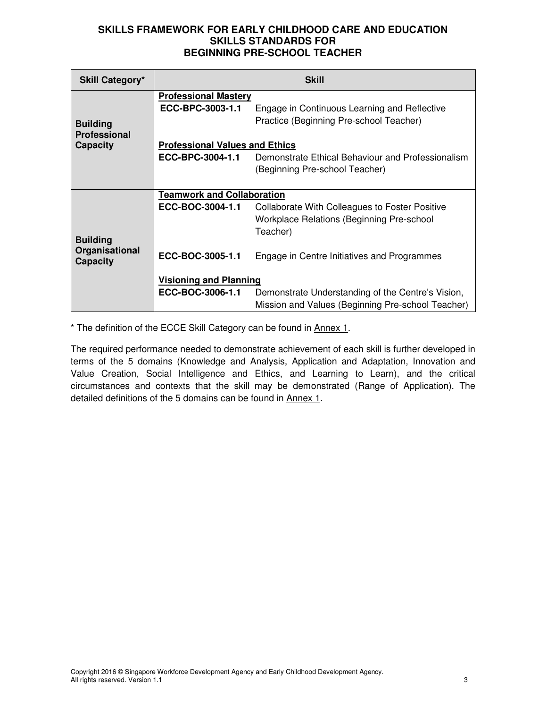| <b>Skill Category*</b>            | <b>Skill</b>                          |                                                   |  |  |
|-----------------------------------|---------------------------------------|---------------------------------------------------|--|--|
|                                   | <b>Professional Mastery</b>           |                                                   |  |  |
|                                   | ECC-BPC-3003-1.1                      | Engage in Continuous Learning and Reflective      |  |  |
| <b>Building</b>                   |                                       | Practice (Beginning Pre-school Teacher)           |  |  |
| <b>Professional</b>               |                                       |                                                   |  |  |
| <b>Capacity</b>                   | <b>Professional Values and Ethics</b> |                                                   |  |  |
|                                   | ECC-BPC-3004-1.1                      | Demonstrate Ethical Behaviour and Professionalism |  |  |
|                                   |                                       | (Beginning Pre-school Teacher)                    |  |  |
|                                   |                                       |                                                   |  |  |
|                                   | <b>Teamwork and Collaboration</b>     |                                                   |  |  |
|                                   | ECC-BOC-3004-1.1                      | Collaborate With Colleagues to Foster Positive    |  |  |
|                                   |                                       | <b>Workplace Relations (Beginning Pre-school</b>  |  |  |
|                                   |                                       | Teacher)                                          |  |  |
| <b>Building</b>                   |                                       |                                                   |  |  |
| Organisational<br><b>Capacity</b> | ECC-BOC-3005-1.1                      | Engage in Centre Initiatives and Programmes       |  |  |
|                                   |                                       |                                                   |  |  |
|                                   | <b>Visioning and Planning</b>         |                                                   |  |  |
|                                   | ECC-BOC-3006-1.1                      | Demonstrate Understanding of the Centre's Vision, |  |  |
|                                   |                                       | Mission and Values (Beginning Pre-school Teacher) |  |  |

\* The definition of the ECCE Skill Category can be found in Annex 1.

The required performance needed to demonstrate achievement of each skill is further developed in terms of the 5 domains (Knowledge and Analysis, Application and Adaptation, Innovation and Value Creation, Social Intelligence and Ethics, and Learning to Learn), and the critical circumstances and contexts that the skill may be demonstrated (Range of Application). The detailed definitions of the 5 domains can be found in Annex 1.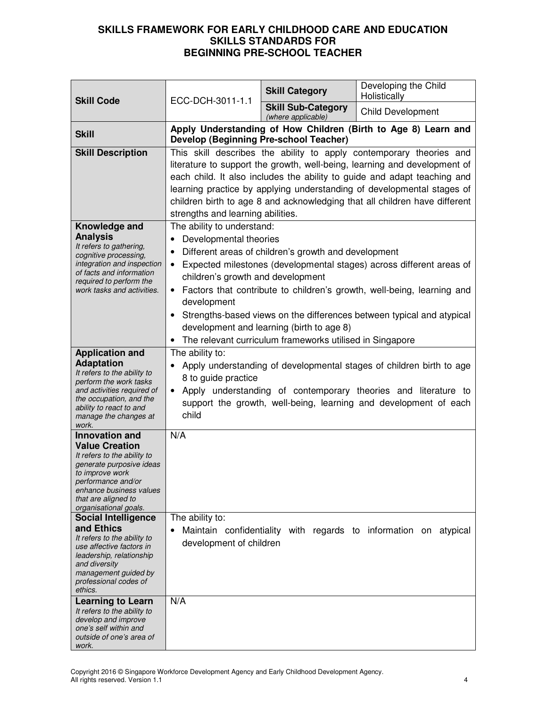| <b>Skill Code</b>                                                                                                                                                                                                                                           | ECC-DCH-3011-1.1                                                                                                                                                                                                                                                                                                                                                                                                                                                                                                                                                      | <b>Skill Category</b>                           | Developing the Child<br>Holistically                                                                                                                                                                       |
|-------------------------------------------------------------------------------------------------------------------------------------------------------------------------------------------------------------------------------------------------------------|-----------------------------------------------------------------------------------------------------------------------------------------------------------------------------------------------------------------------------------------------------------------------------------------------------------------------------------------------------------------------------------------------------------------------------------------------------------------------------------------------------------------------------------------------------------------------|-------------------------------------------------|------------------------------------------------------------------------------------------------------------------------------------------------------------------------------------------------------------|
|                                                                                                                                                                                                                                                             |                                                                                                                                                                                                                                                                                                                                                                                                                                                                                                                                                                       | <b>Skill Sub-Category</b><br>(where applicable) | <b>Child Development</b>                                                                                                                                                                                   |
| <b>Skill</b>                                                                                                                                                                                                                                                | <b>Develop (Beginning Pre-school Teacher)</b>                                                                                                                                                                                                                                                                                                                                                                                                                                                                                                                         |                                                 | Apply Understanding of How Children (Birth to Age 8) Learn and                                                                                                                                             |
| <b>Skill Description</b>                                                                                                                                                                                                                                    | This skill describes the ability to apply contemporary theories and<br>literature to support the growth, well-being, learning and development of<br>each child. It also includes the ability to guide and adapt teaching and<br>learning practice by applying understanding of developmental stages of<br>children birth to age 8 and acknowledging that all children have different<br>strengths and learning abilities.                                                                                                                                             |                                                 |                                                                                                                                                                                                            |
| Knowledge and<br><b>Analysis</b><br>It refers to gathering,<br>cognitive processing,<br>integration and inspection<br>of facts and information<br>required to perform the<br>work tasks and activities.                                                     | The ability to understand:<br>Developmental theories<br>Different areas of children's growth and development<br>$\bullet$<br>Expected milestones (developmental stages) across different areas of<br>$\bullet$<br>children's growth and development<br>Factors that contribute to children's growth, well-being, learning and<br>$\bullet$<br>development<br>Strengths-based views on the differences between typical and atypical<br>$\bullet$<br>development and learning (birth to age 8)<br>The relevant curriculum frameworks utilised in Singapore<br>$\bullet$ |                                                 |                                                                                                                                                                                                            |
| <b>Application and</b><br><b>Adaptation</b><br>It refers to the ability to<br>perform the work tasks<br>and activities required of<br>the occupation, and the<br>ability to react to and<br>manage the changes at<br>work.                                  | The ability to:<br>$\bullet$<br>8 to guide practice<br>child                                                                                                                                                                                                                                                                                                                                                                                                                                                                                                          |                                                 | Apply understanding of developmental stages of children birth to age<br>Apply understanding of contemporary theories and literature to<br>support the growth, well-being, learning and development of each |
| <b>Innovation and</b><br><b>Value Creation</b><br>It refers to the ability to<br>generate purposive ideas<br>to improve work<br>pertormance and/or<br>enhance business values<br>that are aligned to<br>organisational goals.<br><b>Social Intelligence</b> | N/A<br>The ability to:                                                                                                                                                                                                                                                                                                                                                                                                                                                                                                                                                |                                                 |                                                                                                                                                                                                            |
| and Ethics<br>It refers to the ability to<br>use affective factors in<br>leadership, relationship<br>and diversity<br>management guided by<br>professional codes of<br>ethics.                                                                              | development of children                                                                                                                                                                                                                                                                                                                                                                                                                                                                                                                                               |                                                 | Maintain confidentiality with regards to information on atypical                                                                                                                                           |
| <b>Learning to Learn</b><br>It refers to the ability to<br>develop and improve<br>one's self within and<br>outside of one's area of<br>work.                                                                                                                | N/A                                                                                                                                                                                                                                                                                                                                                                                                                                                                                                                                                                   |                                                 |                                                                                                                                                                                                            |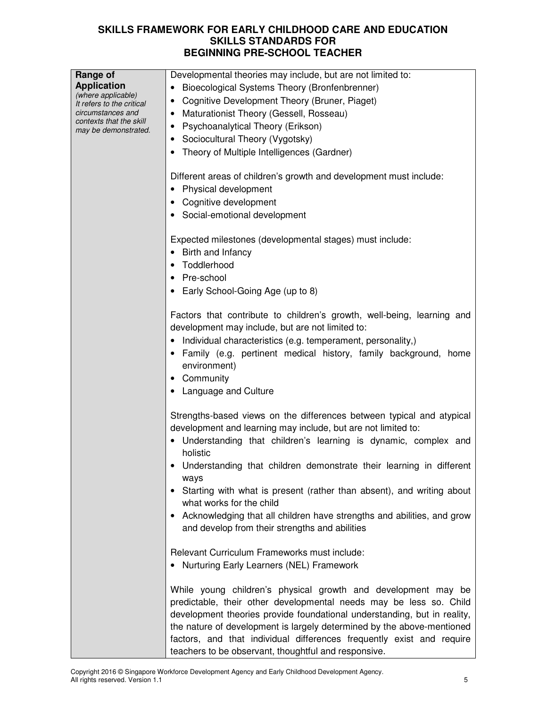| Range of                                       | Developmental theories may include, but are not limited to:              |  |  |  |
|------------------------------------------------|--------------------------------------------------------------------------|--|--|--|
| <b>Application</b>                             | Bioecological Systems Theory (Bronfenbrenner)                            |  |  |  |
| (where applicable)                             | Cognitive Development Theory (Bruner, Piaget)<br>٠                       |  |  |  |
| It refers to the critical<br>circumstances and |                                                                          |  |  |  |
| contexts that the skill                        | Maturationist Theory (Gessell, Rosseau)<br>٠                             |  |  |  |
| may be demonstrated.                           | Psychoanalytical Theory (Erikson)<br>$\bullet$                           |  |  |  |
|                                                | Sociocultural Theory (Vygotsky)<br>٠                                     |  |  |  |
|                                                | Theory of Multiple Intelligences (Gardner)                               |  |  |  |
|                                                |                                                                          |  |  |  |
|                                                | Different areas of children's growth and development must include:       |  |  |  |
|                                                | Physical development                                                     |  |  |  |
|                                                |                                                                          |  |  |  |
|                                                | Cognitive development                                                    |  |  |  |
|                                                | Social-emotional development                                             |  |  |  |
|                                                |                                                                          |  |  |  |
|                                                | Expected milestones (developmental stages) must include:                 |  |  |  |
|                                                | Birth and Infancy                                                        |  |  |  |
|                                                | Toddlerhood                                                              |  |  |  |
|                                                |                                                                          |  |  |  |
|                                                | Pre-school                                                               |  |  |  |
|                                                | Early School-Going Age (up to 8)                                         |  |  |  |
|                                                |                                                                          |  |  |  |
|                                                | Factors that contribute to children's growth, well-being, learning and   |  |  |  |
|                                                | development may include, but are not limited to:                         |  |  |  |
|                                                | Individual characteristics (e.g. temperament, personality,)              |  |  |  |
|                                                | Family (e.g. pertinent medical history, family background, home          |  |  |  |
|                                                | environment)                                                             |  |  |  |
|                                                | Community                                                                |  |  |  |
|                                                |                                                                          |  |  |  |
|                                                | • Language and Culture                                                   |  |  |  |
|                                                |                                                                          |  |  |  |
|                                                | Strengths-based views on the differences between typical and atypical    |  |  |  |
|                                                | development and learning may include, but are not limited to:            |  |  |  |
|                                                | Understanding that children's learning is dynamic, complex and           |  |  |  |
|                                                | holistic                                                                 |  |  |  |
|                                                | Understanding that children demonstrate their learning in different      |  |  |  |
|                                                | ways                                                                     |  |  |  |
|                                                | Starting with what is present (rather than absent), and writing about    |  |  |  |
|                                                | what works for the child                                                 |  |  |  |
|                                                |                                                                          |  |  |  |
|                                                | Acknowledging that all children have strengths and abilities, and grow   |  |  |  |
|                                                | and develop from their strengths and abilities                           |  |  |  |
|                                                |                                                                          |  |  |  |
|                                                | Relevant Curriculum Frameworks must include:                             |  |  |  |
|                                                | Nurturing Early Learners (NEL) Framework                                 |  |  |  |
|                                                |                                                                          |  |  |  |
|                                                | While young children's physical growth and development may be            |  |  |  |
|                                                | predictable, their other developmental needs may be less so. Child       |  |  |  |
|                                                | development theories provide foundational understanding, but in reality, |  |  |  |
|                                                | the nature of development is largely determined by the above-mentioned   |  |  |  |
|                                                | factors, and that individual differences frequently exist and require    |  |  |  |
|                                                |                                                                          |  |  |  |
|                                                | teachers to be observant, thoughtful and responsive.                     |  |  |  |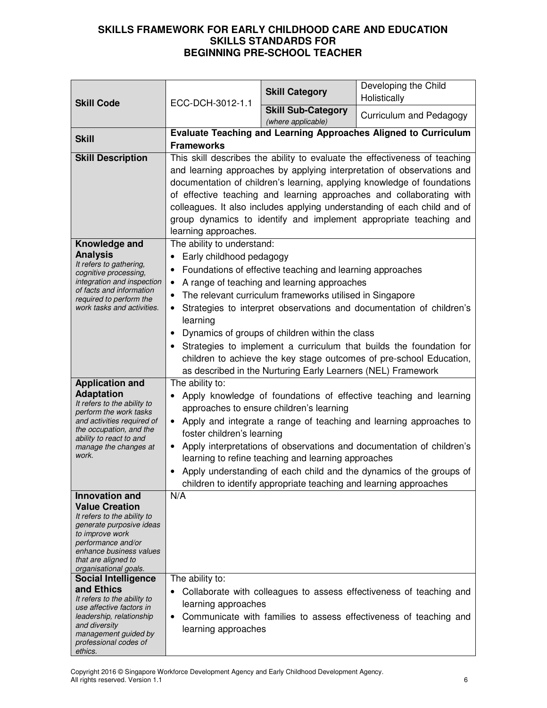| ECC-DCH-3012-1.1<br><b>Skill Code</b>                                                                                                                                                                                                                                                                                                                                                                                                  |                                                                                                                                                                                                                                                                                                                                                                                                                                                                                                                                                                                                               | <b>Skill Category</b>                                                                                                                                                | Developing the Child<br>Holistically                                                                                                                                                                                                                                                      |
|----------------------------------------------------------------------------------------------------------------------------------------------------------------------------------------------------------------------------------------------------------------------------------------------------------------------------------------------------------------------------------------------------------------------------------------|---------------------------------------------------------------------------------------------------------------------------------------------------------------------------------------------------------------------------------------------------------------------------------------------------------------------------------------------------------------------------------------------------------------------------------------------------------------------------------------------------------------------------------------------------------------------------------------------------------------|----------------------------------------------------------------------------------------------------------------------------------------------------------------------|-------------------------------------------------------------------------------------------------------------------------------------------------------------------------------------------------------------------------------------------------------------------------------------------|
|                                                                                                                                                                                                                                                                                                                                                                                                                                        |                                                                                                                                                                                                                                                                                                                                                                                                                                                                                                                                                                                                               | <b>Skill Sub-Category</b><br>(where applicable)                                                                                                                      | Curriculum and Pedagogy                                                                                                                                                                                                                                                                   |
| <b>Skill</b>                                                                                                                                                                                                                                                                                                                                                                                                                           | <b>Frameworks</b>                                                                                                                                                                                                                                                                                                                                                                                                                                                                                                                                                                                             |                                                                                                                                                                      | Evaluate Teaching and Learning Approaches Aligned to Curriculum                                                                                                                                                                                                                           |
| <b>Skill Description</b>                                                                                                                                                                                                                                                                                                                                                                                                               | This skill describes the ability to evaluate the effectiveness of teaching<br>and learning approaches by applying interpretation of observations and<br>documentation of children's learning, applying knowledge of foundations<br>of effective teaching and learning approaches and collaborating with<br>colleagues. It also includes applying understanding of each child and of<br>group dynamics to identify and implement appropriate teaching and<br>learning approaches.                                                                                                                              |                                                                                                                                                                      |                                                                                                                                                                                                                                                                                           |
| Knowledge and<br><b>Analysis</b><br>It refers to gathering,<br>cognitive processing,<br>integration and inspection<br>of facts and information<br>required to perform the<br>work tasks and activities.                                                                                                                                                                                                                                | The ability to understand:<br>Early childhood pedagogy<br>Foundations of effective teaching and learning approaches<br>A range of teaching and learning approaches<br>The relevant curriculum frameworks utilised in Singapore<br>$\bullet$<br>Strategies to interpret observations and documentation of children's<br>learning<br>Dynamics of groups of children within the class<br>$\bullet$<br>Strategies to implement a curriculum that builds the foundation for<br>children to achieve the key stage outcomes of pre-school Education,<br>as described in the Nurturing Early Learners (NEL) Framework |                                                                                                                                                                      |                                                                                                                                                                                                                                                                                           |
| <b>Application and</b><br><b>Adaptation</b><br>It refers to the ability to<br>perform the work tasks<br>and activities required of<br>the occupation, and the<br>ability to react to and<br>manage the changes at<br>work.                                                                                                                                                                                                             | The ability to:<br>foster children's learning                                                                                                                                                                                                                                                                                                                                                                                                                                                                                                                                                                 | approaches to ensure children's learning<br>learning to refine teaching and learning approaches<br>children to identify appropriate teaching and learning approaches | Apply knowledge of foundations of effective teaching and learning<br>• Apply and integrate a range of teaching and learning approaches to<br>Apply interpretations of observations and documentation of children's<br>Apply understanding of each child and the dynamics of the groups of |
| Innovation and<br><b>Value Creation</b><br>It refers to the ability to<br>generate purposive ideas<br>to improve work<br>performance and/or<br>enhance business values<br>that are aligned to<br>organisational goals.<br><b>Social Intelligence</b><br>and Ethics<br>It refers to the ability to<br>use affective factors in<br>leadership, relationship<br>and diversity<br>management guided by<br>professional codes of<br>ethics. | N/A<br>The ability to:<br>learning approaches<br>$\bullet$<br>learning approaches                                                                                                                                                                                                                                                                                                                                                                                                                                                                                                                             |                                                                                                                                                                      | Collaborate with colleagues to assess effectiveness of teaching and<br>Communicate with families to assess effectiveness of teaching and                                                                                                                                                  |

Copyright 2016 © Singapore Workforce Development Agency and Early Childhood Development Agency. All rights reserved. Version 1.1 6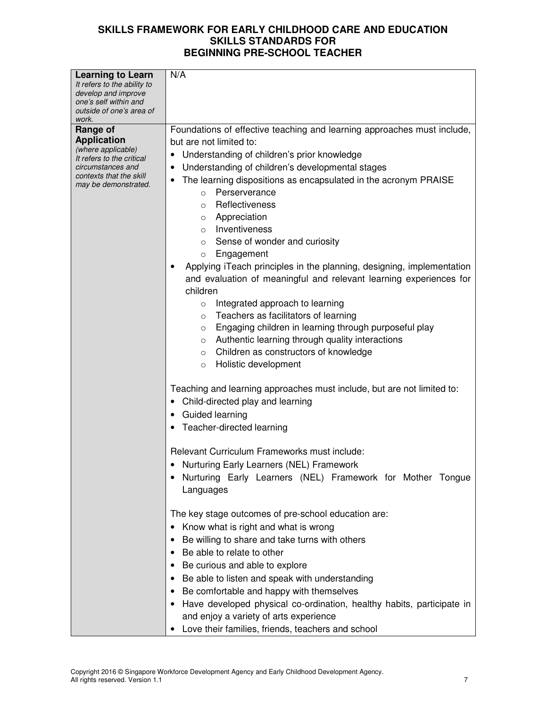| <b>Learning to Learn</b><br>It refers to the ability to<br>develop and improve<br>one's self within and<br>outside of one's area of<br>work.              | N/A                                                                                                                                                                                                                                                                                                                                                                                                                                                                                                                                                                                                                                                                                                                                                                                                                                                                                                                               |
|-----------------------------------------------------------------------------------------------------------------------------------------------------------|-----------------------------------------------------------------------------------------------------------------------------------------------------------------------------------------------------------------------------------------------------------------------------------------------------------------------------------------------------------------------------------------------------------------------------------------------------------------------------------------------------------------------------------------------------------------------------------------------------------------------------------------------------------------------------------------------------------------------------------------------------------------------------------------------------------------------------------------------------------------------------------------------------------------------------------|
| Range of<br><b>Application</b><br>(where applicable)<br>It refers to the critical<br>circumstances and<br>contexts that the skill<br>may be demonstrated. | Foundations of effective teaching and learning approaches must include,<br>but are not limited to:<br>Understanding of children's prior knowledge<br>Understanding of children's developmental stages<br>The learning dispositions as encapsulated in the acronym PRAISE<br>Perserverance<br>$\Omega$<br>Reflectiveness<br>$\circ$<br>Appreciation<br>O<br>Inventiveness<br>$\circ$<br>Sense of wonder and curiosity<br>$\circ$<br>Engagement<br>$\circ$<br>Applying iTeach principles in the planning, designing, implementation<br>and evaluation of meaningful and relevant learning experiences for<br>children<br>Integrated approach to learning<br>$\circ$<br>Teachers as facilitators of learning<br>$\circ$<br>Engaging children in learning through purposeful play<br>O<br>Authentic learning through quality interactions<br>O<br>Children as constructors of knowledge<br>$\circ$<br>Holistic development<br>$\circ$ |
|                                                                                                                                                           | Teaching and learning approaches must include, but are not limited to:<br>Child-directed play and learning<br>Guided learning<br>Teacher-directed learning<br>Relevant Curriculum Frameworks must include:<br>Nurturing Early Learners (NEL) Framework<br>Nurturing Early Learners (NEL) Framework for Mother Tongue<br>Languages<br>The key stage outcomes of pre-school education are:<br>Know what is right and what is wrong<br>Be willing to share and take turns with others<br>Be able to relate to other<br>Be curious and able to explore<br>Be able to listen and speak with understanding<br>Be comfortable and happy with themselves<br>Have developed physical co-ordination, healthy habits, participate in<br>and enjoy a variety of arts experience                                                                                                                                                               |

• Love their families, friends, teachers and school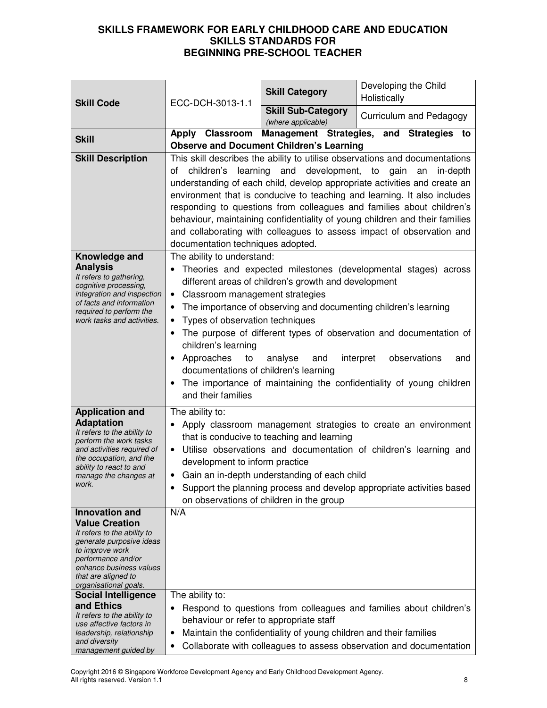| <b>Skill Code</b>                                                                                                                                                                                                             | ECC-DCH-3013-1.1                                                                                                                                                                                                                                                                                                                                                                                                                                                                                                                                                                   | <b>Skill Category</b>                                                                                                                     | Developing the Child<br>Holistically                                                                                                                                                                                                            |  |
|-------------------------------------------------------------------------------------------------------------------------------------------------------------------------------------------------------------------------------|------------------------------------------------------------------------------------------------------------------------------------------------------------------------------------------------------------------------------------------------------------------------------------------------------------------------------------------------------------------------------------------------------------------------------------------------------------------------------------------------------------------------------------------------------------------------------------|-------------------------------------------------------------------------------------------------------------------------------------------|-------------------------------------------------------------------------------------------------------------------------------------------------------------------------------------------------------------------------------------------------|--|
|                                                                                                                                                                                                                               |                                                                                                                                                                                                                                                                                                                                                                                                                                                                                                                                                                                    | <b>Skill Sub-Category</b><br>(where applicable)                                                                                           | Curriculum and Pedagogy                                                                                                                                                                                                                         |  |
| <b>Skill</b>                                                                                                                                                                                                                  |                                                                                                                                                                                                                                                                                                                                                                                                                                                                                                                                                                                    | <b>Observe and Document Children's Learning</b>                                                                                           | Apply Classroom Management Strategies, and Strategies to                                                                                                                                                                                        |  |
| <b>Skill Description</b>                                                                                                                                                                                                      | This skill describes the ability to utilise observations and documentations<br>learning and development, to gain an<br>children's<br>οf<br>in-depth<br>understanding of each child, develop appropriate activities and create an<br>environment that is conducive to teaching and learning. It also includes<br>responding to questions from colleagues and families about children's<br>behaviour, maintaining confidentiality of young children and their families<br>and collaborating with colleagues to assess impact of observation and<br>documentation techniques adopted. |                                                                                                                                           |                                                                                                                                                                                                                                                 |  |
| Knowledge and<br><b>Analysis</b><br>It refers to gathering,<br>cognitive processing,<br>integration and inspection<br>of facts and information<br>required to perform the<br>work tasks and activities.                       | The ability to understand:<br>Classroom management strategies<br>$\bullet$<br>٠<br>Types of observation techniques<br>$\bullet$<br>children's learning<br>Approaches<br>to<br>documentations of children's learning<br>and their families                                                                                                                                                                                                                                                                                                                                          | different areas of children's growth and development<br>The importance of observing and documenting children's learning<br>analyse<br>and | Theories and expected milestones (developmental stages) across<br>The purpose of different types of observation and documentation of<br>interpret<br>observations<br>and<br>The importance of maintaining the confidentiality of young children |  |
| <b>Application and</b><br><b>Adaptation</b><br>It refers to the ability to<br>perform the work tasks<br>and activities required of<br>the occupation, and the<br>ability to react to and<br>manage the changes at<br>work.    | The ability to:<br>$\bullet$<br>$\bullet$<br>development to inform practice                                                                                                                                                                                                                                                                                                                                                                                                                                                                                                        | that is conducive to teaching and learning<br>Gain an in-depth understanding of each child<br>on observations of children in the group    | Apply classroom management strategies to create an environment<br>Utilise observations and documentation of children's learning and<br>Support the planning process and develop appropriate activities based                                    |  |
| <b>Innovation and</b><br><b>Value Creation</b><br>It refers to the ability to<br>generate purposive ideas<br>to improve work<br>performance and/or<br>enhance business values<br>that are aligned to<br>organisational goals. | N/A<br>The ability to:                                                                                                                                                                                                                                                                                                                                                                                                                                                                                                                                                             |                                                                                                                                           |                                                                                                                                                                                                                                                 |  |
| <b>Social Intelligence</b><br>and Ethics<br>It refers to the ability to<br>use affective factors in<br>leadership, relationship<br>and diversity<br>management guided by                                                      | behaviour or refer to appropriate staff<br>$\bullet$                                                                                                                                                                                                                                                                                                                                                                                                                                                                                                                               | Maintain the confidentiality of young children and their families                                                                         | Respond to questions from colleagues and families about children's<br>Collaborate with colleagues to assess observation and documentation                                                                                                       |  |

Copyright 2016 © Singapore Workforce Development Agency and Early Childhood Development Agency. All rights reserved. Version 1.1 8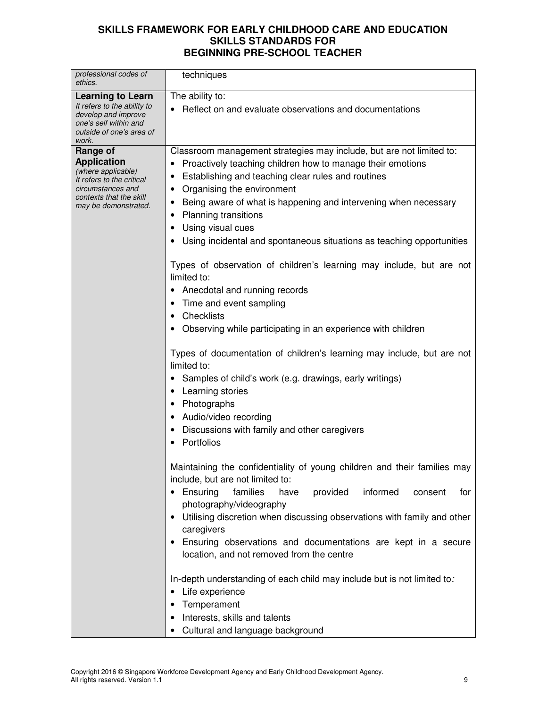| professional codes of<br>ethics.                                                                                                                          | techniques                                                                                                                                                                                                                                                                                                                                                                                                                                                                                                                                                                                                                                                                                                                                                                                                                                                                                                                                                                                                                                                                                                                                                                                                                            |
|-----------------------------------------------------------------------------------------------------------------------------------------------------------|---------------------------------------------------------------------------------------------------------------------------------------------------------------------------------------------------------------------------------------------------------------------------------------------------------------------------------------------------------------------------------------------------------------------------------------------------------------------------------------------------------------------------------------------------------------------------------------------------------------------------------------------------------------------------------------------------------------------------------------------------------------------------------------------------------------------------------------------------------------------------------------------------------------------------------------------------------------------------------------------------------------------------------------------------------------------------------------------------------------------------------------------------------------------------------------------------------------------------------------|
| <b>Learning to Learn</b><br>It refers to the ability to<br>develop and improve<br>one's self within and<br>outside of one's area of<br>work.              | The ability to:<br>Reflect on and evaluate observations and documentations                                                                                                                                                                                                                                                                                                                                                                                                                                                                                                                                                                                                                                                                                                                                                                                                                                                                                                                                                                                                                                                                                                                                                            |
| Range of<br><b>Application</b><br>(where applicable)<br>It refers to the critical<br>circumstances and<br>contexts that the skill<br>may be demonstrated. | Classroom management strategies may include, but are not limited to:<br>Proactively teaching children how to manage their emotions<br>Establishing and teaching clear rules and routines<br>Organising the environment<br>٠<br>Being aware of what is happening and intervening when necessary<br>Planning transitions<br>Using visual cues<br>Using incidental and spontaneous situations as teaching opportunities<br>Types of observation of children's learning may include, but are not<br>limited to:<br>Anecdotal and running records<br>Time and event sampling<br>Checklists<br>Observing while participating in an experience with children<br>Types of documentation of children's learning may include, but are not<br>limited to:<br>Samples of child's work (e.g. drawings, early writings)<br>Learning stories<br>Photographs<br>Audio/video recording<br>Discussions with family and other caregivers<br>Portfolios<br>Maintaining the confidentiality of young children and their families may<br>include, but are not limited to:<br>• Ensuring<br>families<br>provided<br>informed<br>have<br>consent<br>for<br>photography/videography<br>Utilising discretion when discussing observations with family and other |
|                                                                                                                                                           | caregivers<br>Ensuring observations and documentations are kept in a secure<br>location, and not removed from the centre                                                                                                                                                                                                                                                                                                                                                                                                                                                                                                                                                                                                                                                                                                                                                                                                                                                                                                                                                                                                                                                                                                              |
|                                                                                                                                                           | In-depth understanding of each child may include but is not limited to:<br>Life experience<br>Temperament<br>Interests, skills and talents<br>Cultural and language background                                                                                                                                                                                                                                                                                                                                                                                                                                                                                                                                                                                                                                                                                                                                                                                                                                                                                                                                                                                                                                                        |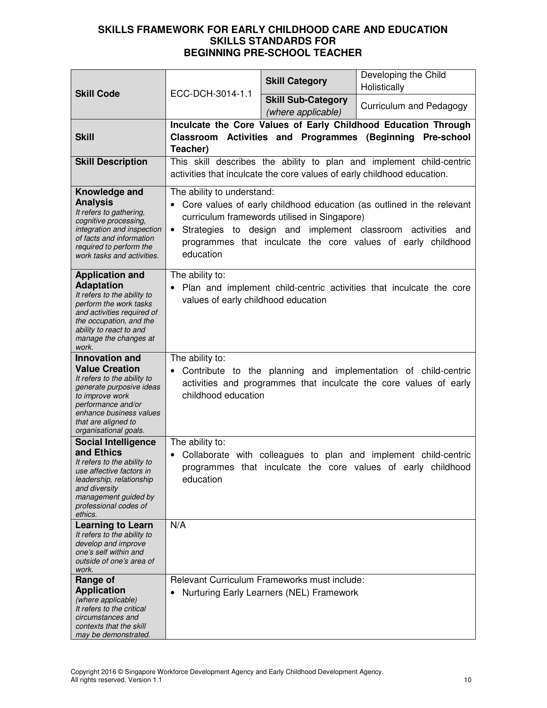|                                                                                                                                                                                                                               |                                                                                                                                                                                                                                                                                                              | <b>Skill Category</b>                                                                    | Developing the Child<br>Holistically                                                                                                |
|-------------------------------------------------------------------------------------------------------------------------------------------------------------------------------------------------------------------------------|--------------------------------------------------------------------------------------------------------------------------------------------------------------------------------------------------------------------------------------------------------------------------------------------------------------|------------------------------------------------------------------------------------------|-------------------------------------------------------------------------------------------------------------------------------------|
| <b>Skill Code</b>                                                                                                                                                                                                             | ECC-DCH-3014-1.1                                                                                                                                                                                                                                                                                             | <b>Skill Sub-Category</b><br>(where applicable)                                          | Curriculum and Pedagogy                                                                                                             |
| <b>Skill</b>                                                                                                                                                                                                                  | Teacher)                                                                                                                                                                                                                                                                                                     |                                                                                          | Inculcate the Core Values of Early Childhood Education Through<br>Classroom Activities and Programmes (Beginning Pre-school         |
| <b>Skill Description</b>                                                                                                                                                                                                      | This skill describes the ability to plan and implement child-centric<br>activities that inculcate the core values of early childhood education.                                                                                                                                                              |                                                                                          |                                                                                                                                     |
| Knowledge and<br><b>Analysis</b><br>It refers to gathering,<br>cognitive processing,<br>integration and inspection<br>of facts and information<br>required to perform the<br>work tasks and activities.                       | The ability to understand:<br>Core values of early childhood education (as outlined in the relevant<br>curriculum framewords utilised in Singapore)<br>Strategies to design and implement classroom activities and<br>$\bullet$<br>programmes that inculcate the core values of early childhood<br>education |                                                                                          |                                                                                                                                     |
| <b>Application and</b><br><b>Adaptation</b><br>It refers to the ability to<br>perform the work tasks<br>and activities required of<br>the occupation, and the<br>ability to react to and<br>manage the changes at<br>work.    | The ability to:<br>Plan and implement child-centric activities that inculcate the core<br>values of early childhood education                                                                                                                                                                                |                                                                                          |                                                                                                                                     |
| <b>Innovation and</b><br><b>Value Creation</b><br>It refers to the ability to<br>generate purposive ideas<br>to improve work<br>performance and/or<br>enhance business values<br>that are aligned to<br>organisational goals. | The ability to:<br>childhood education                                                                                                                                                                                                                                                                       |                                                                                          | Contribute to the planning and implementation of child-centric<br>activities and programmes that inculcate the core values of early |
| <b>Social Intelligence</b><br>and Ethics<br>It refers to the ability to<br>use affective factors in<br>leadership, relationship<br>and diversity<br>management guided by<br>professional codes of<br>ethics.                  | The ability to:<br>education                                                                                                                                                                                                                                                                                 |                                                                                          | Collaborate with colleagues to plan and implement child-centric<br>programmes that inculcate the core values of early childhood     |
| <b>Learning to Learn</b><br>It refers to the ability to<br>develop and improve<br>one's self within and<br>outside of one's area of<br>work.                                                                                  | N/A                                                                                                                                                                                                                                                                                                          |                                                                                          |                                                                                                                                     |
| Range of<br><b>Application</b><br>(where applicable)<br>It refers to the critical<br>circumstances and<br>contexts that the skill<br>may be demonstrated.                                                                     |                                                                                                                                                                                                                                                                                                              | Relevant Curriculum Frameworks must include:<br>Nurturing Early Learners (NEL) Framework |                                                                                                                                     |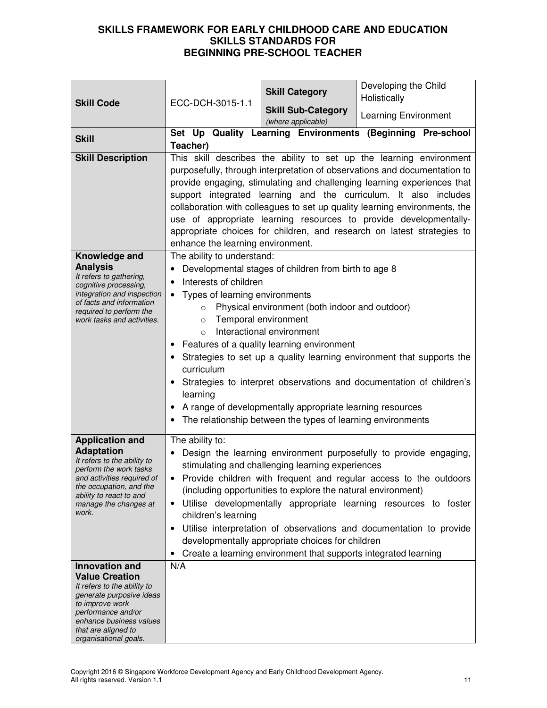| <b>Skill Code</b>                                                                                                                                                                                                             | ECC-DCH-3015-1.1                                                                                                                                                                                                                                                                                                                                                                                                                                                                                                                                                  | <b>Skill Category</b>                                                                                                                                                                                                                                                                                                                 | Developing the Child<br>Holistically                                                                                                                                                                                                                                                |
|-------------------------------------------------------------------------------------------------------------------------------------------------------------------------------------------------------------------------------|-------------------------------------------------------------------------------------------------------------------------------------------------------------------------------------------------------------------------------------------------------------------------------------------------------------------------------------------------------------------------------------------------------------------------------------------------------------------------------------------------------------------------------------------------------------------|---------------------------------------------------------------------------------------------------------------------------------------------------------------------------------------------------------------------------------------------------------------------------------------------------------------------------------------|-------------------------------------------------------------------------------------------------------------------------------------------------------------------------------------------------------------------------------------------------------------------------------------|
|                                                                                                                                                                                                                               |                                                                                                                                                                                                                                                                                                                                                                                                                                                                                                                                                                   | <b>Skill Sub-Category</b><br>(where applicable)                                                                                                                                                                                                                                                                                       | Learning Environment                                                                                                                                                                                                                                                                |
| <b>Skill</b>                                                                                                                                                                                                                  | Teacher)                                                                                                                                                                                                                                                                                                                                                                                                                                                                                                                                                          |                                                                                                                                                                                                                                                                                                                                       | Set Up Quality Learning Environments (Beginning Pre-school                                                                                                                                                                                                                          |
| <b>Skill Description</b>                                                                                                                                                                                                      | This skill describes the ability to set up the learning environment<br>purposefully, through interpretation of observations and documentation to<br>provide engaging, stimulating and challenging learning experiences that<br>support integrated learning and the curriculum. It also includes<br>collaboration with colleagues to set up quality learning environments, the<br>use of appropriate learning resources to provide developmentally-<br>appropriate choices for children, and research on latest strategies to<br>enhance the learning environment. |                                                                                                                                                                                                                                                                                                                                       |                                                                                                                                                                                                                                                                                     |
| Knowledge and<br><b>Analysis</b><br>It refers to gathering,<br>cognitive processing,<br>integration and inspection<br>of facts and information<br>required to perform the<br>work tasks and activities.                       | The ability to understand:<br>Interests of children<br>Types of learning environments<br>$\circ$<br>$\circ$<br>$\circ$<br>curriculum<br>learning                                                                                                                                                                                                                                                                                                                                                                                                                  | Developmental stages of children from birth to age 8<br>Physical environment (both indoor and outdoor)<br>Temporal environment<br>Interactional environment<br>Features of a quality learning environment<br>A range of developmentally appropriate learning resources<br>The relationship between the types of learning environments | Strategies to set up a quality learning environment that supports the<br>Strategies to interpret observations and documentation of children's                                                                                                                                       |
| <b>Application and</b><br><b>Adaptation</b><br>It refers to the ability to<br>perform the work tasks<br>and activities required of<br>the occupation, and the<br>ability to react to and<br>manage the changes at<br>work.    | The ability to:<br>children's learning<br>٠                                                                                                                                                                                                                                                                                                                                                                                                                                                                                                                       | stimulating and challenging learning experiences<br>(including opportunities to explore the natural environment)<br>developmentally appropriate choices for children<br>Create a learning environment that supports integrated learning                                                                                               | Design the learning environment purposefully to provide engaging,<br>• Provide children with frequent and regular access to the outdoors<br>Utilise developmentally appropriate learning resources to foster<br>Utilise interpretation of observations and documentation to provide |
| <b>Innovation and</b><br><b>Value Creation</b><br>It refers to the ability to<br>generate purposive ideas<br>to improve work<br>performance and/or<br>enhance business values<br>that are aligned to<br>organisational goals. | N/A                                                                                                                                                                                                                                                                                                                                                                                                                                                                                                                                                               |                                                                                                                                                                                                                                                                                                                                       |                                                                                                                                                                                                                                                                                     |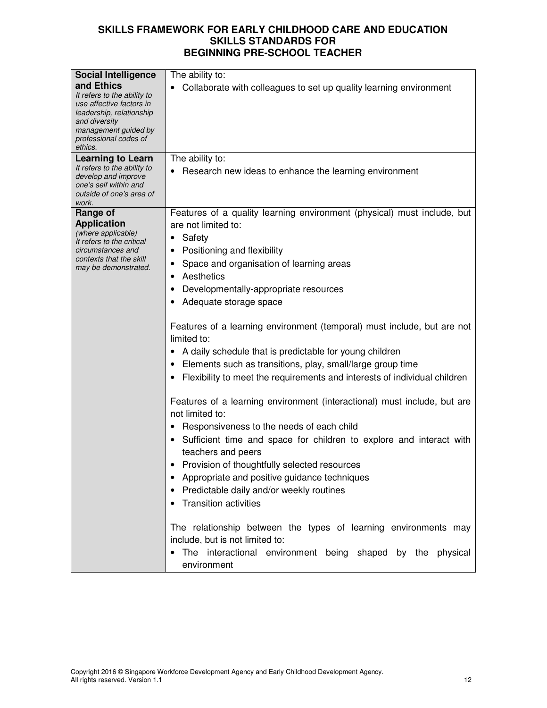| <b>Social Intelligence</b>                                                                                                                                          | The ability to:                                                                                                                                                                                                                                                                              |  |  |
|---------------------------------------------------------------------------------------------------------------------------------------------------------------------|----------------------------------------------------------------------------------------------------------------------------------------------------------------------------------------------------------------------------------------------------------------------------------------------|--|--|
| and Ethics<br>It refers to the ability to<br>use affective factors in<br>leadership, relationship<br>and diversity<br>management guided by<br>professional codes of | Collaborate with colleagues to set up quality learning environment                                                                                                                                                                                                                           |  |  |
| ethics.<br><b>Learning to Learn</b>                                                                                                                                 | The ability to:                                                                                                                                                                                                                                                                              |  |  |
| It refers to the ability to<br>develop and improve<br>one's self within and<br>outside of one's area of<br>work.                                                    | Research new ideas to enhance the learning environment                                                                                                                                                                                                                                       |  |  |
| Range of                                                                                                                                                            | Features of a quality learning environment (physical) must include, but                                                                                                                                                                                                                      |  |  |
| <b>Application</b>                                                                                                                                                  | are not limited to:                                                                                                                                                                                                                                                                          |  |  |
| (where applicable)<br>It refers to the critical                                                                                                                     | Safety                                                                                                                                                                                                                                                                                       |  |  |
| circumstances and                                                                                                                                                   | Positioning and flexibility                                                                                                                                                                                                                                                                  |  |  |
| contexts that the skill<br>may be demonstrated.                                                                                                                     | Space and organisation of learning areas                                                                                                                                                                                                                                                     |  |  |
|                                                                                                                                                                     | Aesthetics                                                                                                                                                                                                                                                                                   |  |  |
|                                                                                                                                                                     | Developmentally-appropriate resources                                                                                                                                                                                                                                                        |  |  |
|                                                                                                                                                                     | Adequate storage space                                                                                                                                                                                                                                                                       |  |  |
|                                                                                                                                                                     | Features of a learning environment (temporal) must include, but are not<br>limited to:<br>A daily schedule that is predictable for young children<br>Elements such as transitions, play, small/large group time<br>Flexibility to meet the requirements and interests of individual children |  |  |
|                                                                                                                                                                     | Features of a learning environment (interactional) must include, but are<br>not limited to:                                                                                                                                                                                                  |  |  |
|                                                                                                                                                                     | Responsiveness to the needs of each child                                                                                                                                                                                                                                                    |  |  |
|                                                                                                                                                                     | Sufficient time and space for children to explore and interact with<br>teachers and peers                                                                                                                                                                                                    |  |  |
|                                                                                                                                                                     | Provision of thoughtfully selected resources                                                                                                                                                                                                                                                 |  |  |
|                                                                                                                                                                     | Appropriate and positive guidance techniques                                                                                                                                                                                                                                                 |  |  |
|                                                                                                                                                                     | Predictable daily and/or weekly routines                                                                                                                                                                                                                                                     |  |  |
|                                                                                                                                                                     | <b>Transition activities</b>                                                                                                                                                                                                                                                                 |  |  |
|                                                                                                                                                                     | The relationship between the types of learning environments may<br>include, but is not limited to:<br>The interactional environment being shaped by the<br>physical<br>environment                                                                                                           |  |  |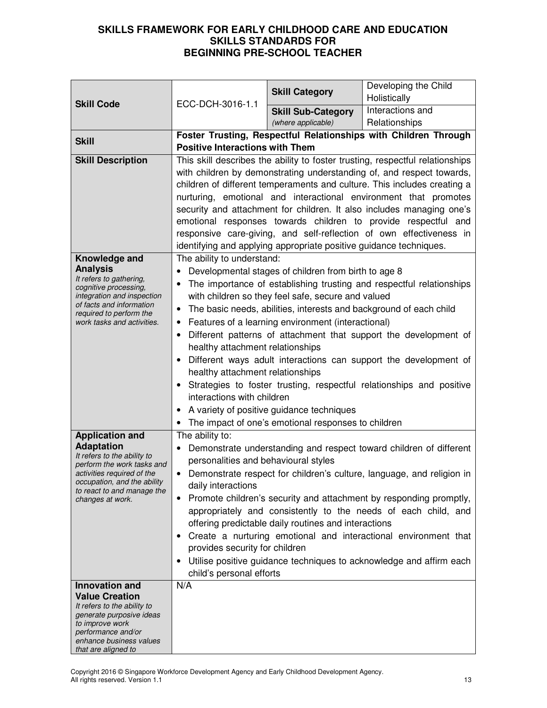|                                                           |                                                                          | <b>Skill Category</b>                                              | Developing the Child                                                          |
|-----------------------------------------------------------|--------------------------------------------------------------------------|--------------------------------------------------------------------|-------------------------------------------------------------------------------|
| <b>Skill Code</b>                                         | ECC-DCH-3016-1.1                                                         |                                                                    | Holistically                                                                  |
|                                                           |                                                                          | <b>Skill Sub-Category</b>                                          | Interactions and                                                              |
|                                                           |                                                                          | (where applicable)                                                 | Relationships                                                                 |
| <b>Skill</b>                                              | <b>Positive Interactions with Them</b>                                   |                                                                    | Foster Trusting, Respectful Relationships with Children Through               |
| <b>Skill Description</b>                                  |                                                                          |                                                                    | This skill describes the ability to foster trusting, respectful relationships |
|                                                           |                                                                          |                                                                    | with children by demonstrating understanding of, and respect towards,         |
|                                                           | children of different temperaments and culture. This includes creating a |                                                                    |                                                                               |
|                                                           | nurturing, emotional and interactional environment that promotes         |                                                                    |                                                                               |
|                                                           | security and attachment for children. It also includes managing one's    |                                                                    |                                                                               |
|                                                           | emotional responses towards children to provide respectful and           |                                                                    |                                                                               |
|                                                           |                                                                          |                                                                    | responsive care-giving, and self-reflection of own effectiveness in           |
|                                                           |                                                                          | identifying and applying appropriate positive guidance techniques. |                                                                               |
| Knowledge and                                             | The ability to understand:                                               |                                                                    |                                                                               |
| <b>Analysis</b><br>It refers to gathering,                |                                                                          | Developmental stages of children from birth to age 8               |                                                                               |
| cognitive processing,<br>integration and inspection       |                                                                          | with children so they feel safe, secure and valued                 | The importance of establishing trusting and respectful relationships          |
| of facts and information                                  | $\bullet$                                                                | The basic needs, abilities, interests and background of each child |                                                                               |
| required to perform the<br>work tasks and activities.     |                                                                          | Features of a learning environment (interactional)                 |                                                                               |
|                                                           | $\bullet$                                                                |                                                                    | Different patterns of attachment that support the development of              |
|                                                           | healthy attachment relationships                                         |                                                                    |                                                                               |
|                                                           | $\bullet$                                                                |                                                                    | Different ways adult interactions can support the development of              |
|                                                           | healthy attachment relationships                                         |                                                                    |                                                                               |
|                                                           | Strategies to foster trusting, respectful relationships and positive     |                                                                    |                                                                               |
|                                                           | interactions with children                                               |                                                                    |                                                                               |
|                                                           | • A variety of positive guidance techniques                              |                                                                    |                                                                               |
|                                                           | The impact of one's emotional responses to children                      |                                                                    |                                                                               |
| <b>Application and</b>                                    | The ability to:                                                          |                                                                    |                                                                               |
| <b>Adaptation</b><br>It refers to the ability to          |                                                                          |                                                                    | Demonstrate understanding and respect toward children of different            |
| perform the work tasks and                                | personalities and behavioural styles                                     |                                                                    |                                                                               |
| activities required of the<br>occupation, and the ability | $\bullet$                                                                |                                                                    | Demonstrate respect for children's culture, language, and religion in         |
| to react to and manage the                                | daily interactions                                                       |                                                                    | Promote children's security and attachment by responding promptly,            |
| changes at work.                                          |                                                                          |                                                                    | appropriately and consistently to the needs of each child, and                |
|                                                           |                                                                          | offering predictable daily routines and interactions               |                                                                               |
|                                                           |                                                                          |                                                                    | Create a nurturing emotional and interactional environment that               |
|                                                           | provides security for children                                           |                                                                    |                                                                               |
|                                                           |                                                                          |                                                                    | Utilise positive guidance techniques to acknowledge and affirm each           |
|                                                           | child's personal efforts                                                 |                                                                    |                                                                               |
| <b>Innovation and</b>                                     | N/A                                                                      |                                                                    |                                                                               |
| <b>Value Creation</b>                                     |                                                                          |                                                                    |                                                                               |
| It refers to the ability to<br>generate purposive ideas   |                                                                          |                                                                    |                                                                               |
| to improve work<br>performance and/or                     |                                                                          |                                                                    |                                                                               |
| enhance business values                                   |                                                                          |                                                                    |                                                                               |
| that are aligned to                                       |                                                                          |                                                                    |                                                                               |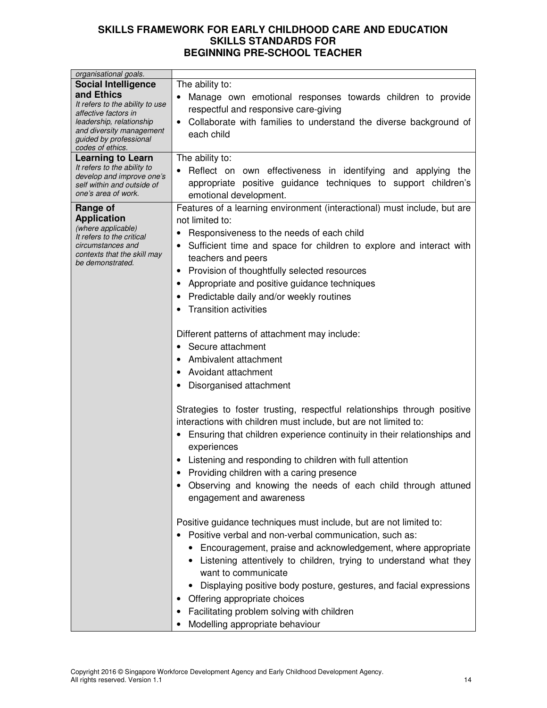| organisational goals.                                                                                                                                                       |                                                                                                                                                                                                                                                                                                                                                                                                                                                                                                                                                                                                                                                                                                                                                                                                                                                                                                                                                                                                                                                                                                                                                                                                                                                                                                                                                                                                                                                                                                                                                                                                                        |
|-----------------------------------------------------------------------------------------------------------------------------------------------------------------------------|------------------------------------------------------------------------------------------------------------------------------------------------------------------------------------------------------------------------------------------------------------------------------------------------------------------------------------------------------------------------------------------------------------------------------------------------------------------------------------------------------------------------------------------------------------------------------------------------------------------------------------------------------------------------------------------------------------------------------------------------------------------------------------------------------------------------------------------------------------------------------------------------------------------------------------------------------------------------------------------------------------------------------------------------------------------------------------------------------------------------------------------------------------------------------------------------------------------------------------------------------------------------------------------------------------------------------------------------------------------------------------------------------------------------------------------------------------------------------------------------------------------------------------------------------------------------------------------------------------------------|
| <b>Social Intelligence</b>                                                                                                                                                  | The ability to:                                                                                                                                                                                                                                                                                                                                                                                                                                                                                                                                                                                                                                                                                                                                                                                                                                                                                                                                                                                                                                                                                                                                                                                                                                                                                                                                                                                                                                                                                                                                                                                                        |
| and Ethics<br>It refers to the ability to use<br>affective factors in<br>leadership, relationship<br>and diversity management<br>guided by professional<br>codes of ethics. | Manage own emotional responses towards children to provide<br>respectful and responsive care-giving<br>Collaborate with families to understand the diverse background of<br>each child                                                                                                                                                                                                                                                                                                                                                                                                                                                                                                                                                                                                                                                                                                                                                                                                                                                                                                                                                                                                                                                                                                                                                                                                                                                                                                                                                                                                                                 |
| <b>Learning to Learn</b><br>It refers to the ability to<br>develop and improve one's<br>self within and outside of<br>one's area of work.                                   | The ability to:<br>Reflect on own effectiveness in identifying and applying the<br>appropriate positive guidance techniques to support children's<br>emotional development.                                                                                                                                                                                                                                                                                                                                                                                                                                                                                                                                                                                                                                                                                                                                                                                                                                                                                                                                                                                                                                                                                                                                                                                                                                                                                                                                                                                                                                            |
| Range of<br><b>Application</b><br>(where applicable)<br>It refers to the critical<br>circumstances and<br>contexts that the skill may<br>be demonstrated.                   | Features of a learning environment (interactional) must include, but are<br>not limited to:<br>Responsiveness to the needs of each child<br>٠<br>Sufficient time and space for children to explore and interact with<br>$\bullet$<br>teachers and peers<br>Provision of thoughtfully selected resources<br>$\bullet$<br>Appropriate and positive guidance techniques<br>Predictable daily and/or weekly routines<br>$\bullet$<br><b>Transition activities</b><br>Different patterns of attachment may include:<br>Secure attachment<br>$\bullet$<br>Ambivalent attachment<br>$\bullet$<br>Avoidant attachment<br>$\bullet$<br>Disorganised attachment<br>Strategies to foster trusting, respectful relationships through positive<br>interactions with children must include, but are not limited to:<br>Ensuring that children experience continuity in their relationships and<br>$\bullet$<br>experiences<br>Listening and responding to children with full attention<br>Providing children with a caring presence<br>Observing and knowing the needs of each child through attuned<br>engagement and awareness<br>Positive guidance techniques must include, but are not limited to:<br>Positive verbal and non-verbal communication, such as:<br>$\bullet$<br>• Encouragement, praise and acknowledgement, where appropriate<br>• Listening attentively to children, trying to understand what they<br>want to communicate<br>Displaying positive body posture, gestures, and facial expressions<br>Offering appropriate choices<br>Facilitating problem solving with children<br>Modelling appropriate behaviour |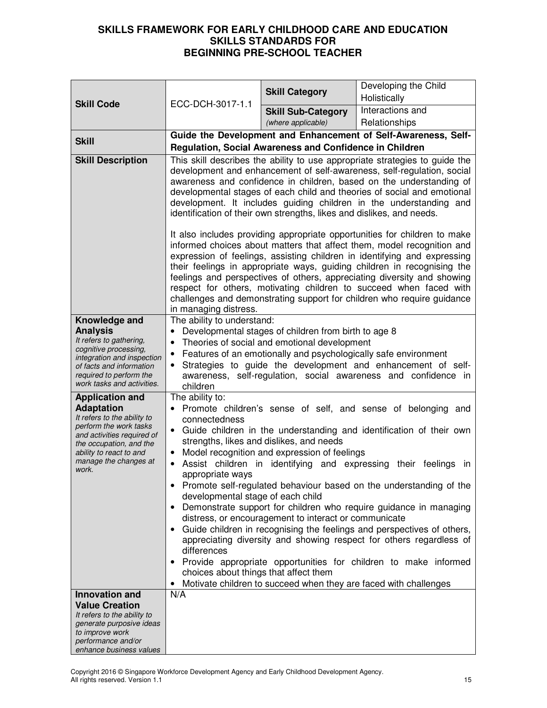|                                                                                                                           |                                                                                                                                                                                                                                                                                                                                                                                                                                                                                                                                                                | <b>Skill Category</b>                                   | Developing the Child                                           |
|---------------------------------------------------------------------------------------------------------------------------|----------------------------------------------------------------------------------------------------------------------------------------------------------------------------------------------------------------------------------------------------------------------------------------------------------------------------------------------------------------------------------------------------------------------------------------------------------------------------------------------------------------------------------------------------------------|---------------------------------------------------------|----------------------------------------------------------------|
| <b>Skill Code</b>                                                                                                         | ECC-DCH-3017-1.1                                                                                                                                                                                                                                                                                                                                                                                                                                                                                                                                               |                                                         | Holistically                                                   |
|                                                                                                                           |                                                                                                                                                                                                                                                                                                                                                                                                                                                                                                                                                                | <b>Skill Sub-Category</b>                               | Interactions and                                               |
|                                                                                                                           |                                                                                                                                                                                                                                                                                                                                                                                                                                                                                                                                                                | (where applicable)                                      | Relationships                                                  |
| <b>Skill</b>                                                                                                              |                                                                                                                                                                                                                                                                                                                                                                                                                                                                                                                                                                | Regulation, Social Awareness and Confidence in Children | Guide the Development and Enhancement of Self-Awareness, Self- |
| <b>Skill Description</b>                                                                                                  |                                                                                                                                                                                                                                                                                                                                                                                                                                                                                                                                                                |                                                         |                                                                |
|                                                                                                                           | This skill describes the ability to use appropriate strategies to guide the<br>development and enhancement of self-awareness, self-regulation, social<br>awareness and confidence in children, based on the understanding of<br>developmental stages of each child and theories of social and emotional<br>development. It includes guiding children in the understanding and<br>identification of their own strengths, likes and dislikes, and needs.                                                                                                         |                                                         |                                                                |
|                                                                                                                           | It also includes providing appropriate opportunities for children to make<br>informed choices about matters that affect them, model recognition and<br>expression of feelings, assisting children in identifying and expressing<br>their feelings in appropriate ways, guiding children in recognising the<br>feelings and perspectives of others, appreciating diversity and showing<br>respect for others, motivating children to succeed when faced with<br>challenges and demonstrating support for children who require guidance<br>in managing distress. |                                                         |                                                                |
| Knowledge and                                                                                                             | The ability to understand:                                                                                                                                                                                                                                                                                                                                                                                                                                                                                                                                     |                                                         |                                                                |
| <b>Analysis</b><br>It refers to gathering,                                                                                |                                                                                                                                                                                                                                                                                                                                                                                                                                                                                                                                                                | Developmental stages of children from birth to age 8    |                                                                |
| cognitive processing,                                                                                                     | Theories of social and emotional development<br>Features of an emotionally and psychologically safe environment                                                                                                                                                                                                                                                                                                                                                                                                                                                |                                                         |                                                                |
| integration and inspection<br>of facts and information<br>required to perform the<br>work tasks and activities.           | Strategies to guide the development and enhancement of self-<br>awareness, self-regulation, social awareness and confidence in<br>children                                                                                                                                                                                                                                                                                                                                                                                                                     |                                                         |                                                                |
| <b>Application and</b>                                                                                                    | The ability to:<br>Promote children's sense of self, and sense of belonging and                                                                                                                                                                                                                                                                                                                                                                                                                                                                                |                                                         |                                                                |
| <b>Adaptation</b><br>It refers to the ability to                                                                          | connectedness                                                                                                                                                                                                                                                                                                                                                                                                                                                                                                                                                  |                                                         |                                                                |
| perform the work tasks<br>and activities required of<br>the occupation, and the                                           | Guide children in the understanding and identification of their own<br>$\bullet$<br>strengths, likes and dislikes, and needs                                                                                                                                                                                                                                                                                                                                                                                                                                   |                                                         |                                                                |
| ability to react to and<br>manage the changes at                                                                          | Model recognition and expression of feelings                                                                                                                                                                                                                                                                                                                                                                                                                                                                                                                   |                                                         |                                                                |
| work.                                                                                                                     | Assist children in identifying and expressing their feelings<br>ın<br>appropriate ways                                                                                                                                                                                                                                                                                                                                                                                                                                                                         |                                                         |                                                                |
|                                                                                                                           | Promote self-regulated behaviour based on the understanding of the<br>developmental stage of each child                                                                                                                                                                                                                                                                                                                                                                                                                                                        |                                                         |                                                                |
|                                                                                                                           | Demonstrate support for children who require guidance in managing<br>distress, or encouragement to interact or communicate                                                                                                                                                                                                                                                                                                                                                                                                                                     |                                                         |                                                                |
|                                                                                                                           | Guide children in recognising the feelings and perspectives of others,<br>appreciating diversity and showing respect for others regardless of<br>differences                                                                                                                                                                                                                                                                                                                                                                                                   |                                                         |                                                                |
|                                                                                                                           | Provide appropriate opportunities for children to make informed<br>choices about things that affect them<br>Motivate children to succeed when they are faced with challenges                                                                                                                                                                                                                                                                                                                                                                                   |                                                         |                                                                |
| <b>Innovation and</b>                                                                                                     | N/A                                                                                                                                                                                                                                                                                                                                                                                                                                                                                                                                                            |                                                         |                                                                |
| <b>Value Creation</b><br>It refers to the ability to<br>generate purposive ideas<br>to improve work<br>performance and/or |                                                                                                                                                                                                                                                                                                                                                                                                                                                                                                                                                                |                                                         |                                                                |
| enhance business values                                                                                                   |                                                                                                                                                                                                                                                                                                                                                                                                                                                                                                                                                                |                                                         |                                                                |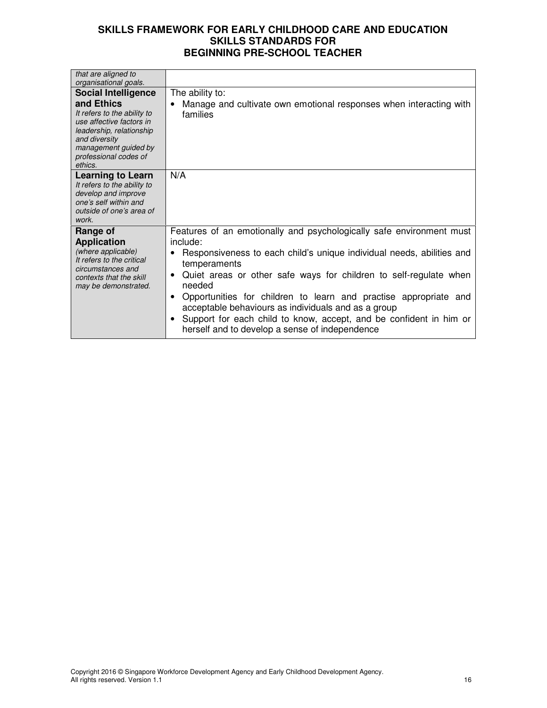| that are aligned to                                                                                                                                                            |                                                                                                                                                                                                                                                                                                                                                                                                                                                                                                                            |
|--------------------------------------------------------------------------------------------------------------------------------------------------------------------------------|----------------------------------------------------------------------------------------------------------------------------------------------------------------------------------------------------------------------------------------------------------------------------------------------------------------------------------------------------------------------------------------------------------------------------------------------------------------------------------------------------------------------------|
| organisational goals.                                                                                                                                                          |                                                                                                                                                                                                                                                                                                                                                                                                                                                                                                                            |
| <b>Social Intelligence</b>                                                                                                                                                     | The ability to:                                                                                                                                                                                                                                                                                                                                                                                                                                                                                                            |
| and Ethics<br>It refers to the ability to<br>use affective factors in<br>leadership, relationship<br>and diversity<br>management guided by<br>professional codes of<br>ethics. | Manage and cultivate own emotional responses when interacting with<br>families                                                                                                                                                                                                                                                                                                                                                                                                                                             |
| <b>Learning to Learn</b><br>It refers to the ability to<br>develop and improve<br>one's self within and<br>outside of one's area of<br>work.                                   | N/A                                                                                                                                                                                                                                                                                                                                                                                                                                                                                                                        |
| Range of<br><b>Application</b><br>(where applicable)<br>It refers to the critical<br>circumstances and<br>contexts that the skill<br>may be demonstrated.                      | Features of an emotionally and psychologically safe environment must<br>include:<br>Responsiveness to each child's unique individual needs, abilities and<br>temperaments<br>Quiet areas or other safe ways for children to self-regulate when<br>٠<br>needed<br>Opportunities for children to learn and practise appropriate and<br>٠<br>acceptable behaviours as individuals and as a group<br>Support for each child to know, accept, and be confident in him or<br>٠<br>herself and to develop a sense of independence |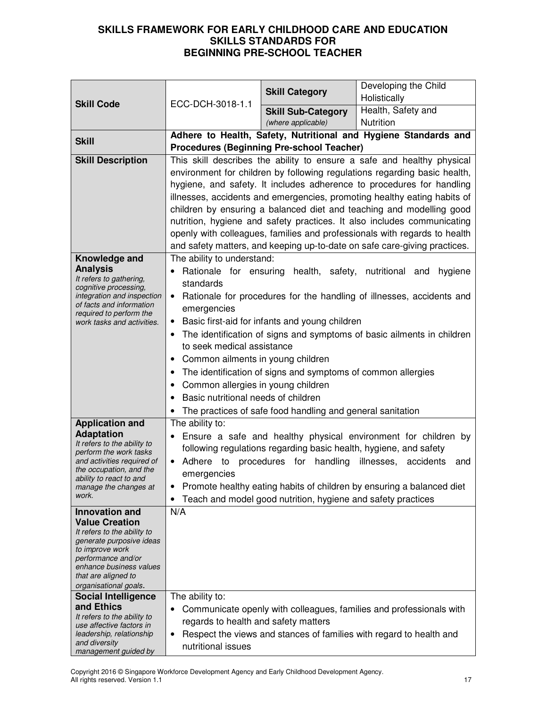| <b>Skill Code</b>                                                                                                                                                                                             | ECC-DCH-3018-1.1                                                                                                                 | <b>Skill Category</b>                                        | Developing the Child<br>Holistically                                      |  |
|---------------------------------------------------------------------------------------------------------------------------------------------------------------------------------------------------------------|----------------------------------------------------------------------------------------------------------------------------------|--------------------------------------------------------------|---------------------------------------------------------------------------|--|
|                                                                                                                                                                                                               |                                                                                                                                  | <b>Skill Sub-Category</b>                                    | Health, Safety and                                                        |  |
|                                                                                                                                                                                                               |                                                                                                                                  | (where applicable)                                           | Nutrition                                                                 |  |
| <b>Skill</b>                                                                                                                                                                                                  |                                                                                                                                  |                                                              | Adhere to Health, Safety, Nutritional and Hygiene Standards and           |  |
|                                                                                                                                                                                                               |                                                                                                                                  | <b>Procedures (Beginning Pre-school Teacher)</b>             |                                                                           |  |
| <b>Skill Description</b>                                                                                                                                                                                      |                                                                                                                                  |                                                              | This skill describes the ability to ensure a safe and healthy physical    |  |
|                                                                                                                                                                                                               |                                                                                                                                  |                                                              | environment for children by following regulations regarding basic health, |  |
|                                                                                                                                                                                                               |                                                                                                                                  |                                                              | hygiene, and safety. It includes adherence to procedures for handling     |  |
|                                                                                                                                                                                                               |                                                                                                                                  |                                                              | illnesses, accidents and emergencies, promoting healthy eating habits of  |  |
|                                                                                                                                                                                                               |                                                                                                                                  |                                                              | children by ensuring a balanced diet and teaching and modelling good      |  |
|                                                                                                                                                                                                               |                                                                                                                                  |                                                              | nutrition, hygiene and safety practices. It also includes communicating   |  |
|                                                                                                                                                                                                               |                                                                                                                                  |                                                              | openly with colleagues, families and professionals with regards to health |  |
|                                                                                                                                                                                                               |                                                                                                                                  |                                                              | and safety matters, and keeping up-to-date on safe care-giving practices. |  |
| Knowledge and                                                                                                                                                                                                 | The ability to understand:                                                                                                       |                                                              |                                                                           |  |
| <b>Analysis</b><br>It refers to gathering,                                                                                                                                                                    |                                                                                                                                  | Rationale for ensuring health, safety, nutritional and       | hygiene                                                                   |  |
| cognitive processing,                                                                                                                                                                                         | standards                                                                                                                        |                                                              |                                                                           |  |
| integration and inspection<br>of facts and information                                                                                                                                                        |                                                                                                                                  |                                                              | • Rationale for procedures for the handling of illnesses, accidents and   |  |
| emergencies<br>required to perform the<br>Basic first-aid for infants and young children<br>work tasks and activities.<br>$\bullet$<br>The identification of signs and symptoms of basic ailments in children |                                                                                                                                  |                                                              |                                                                           |  |
|                                                                                                                                                                                                               |                                                                                                                                  |                                                              |                                                                           |  |
|                                                                                                                                                                                                               |                                                                                                                                  |                                                              |                                                                           |  |
|                                                                                                                                                                                                               | Common ailments in young children<br>The identification of signs and symptoms of common allergies                                |                                                              |                                                                           |  |
|                                                                                                                                                                                                               |                                                                                                                                  |                                                              |                                                                           |  |
|                                                                                                                                                                                                               | Common allergies in young children                                                                                               |                                                              |                                                                           |  |
|                                                                                                                                                                                                               | Basic nutritional needs of children<br>$\bullet$                                                                                 |                                                              |                                                                           |  |
|                                                                                                                                                                                                               | The practices of safe food handling and general sanitation<br>The ability to:                                                    |                                                              |                                                                           |  |
| <b>Application and</b><br><b>Adaptation</b>                                                                                                                                                                   | Ensure a safe and healthy physical environment for children by                                                                   |                                                              |                                                                           |  |
| It refers to the ability to                                                                                                                                                                                   |                                                                                                                                  |                                                              |                                                                           |  |
| and activities required of                                                                                                                                                                                    | following regulations regarding basic health, hygiene, and safety<br>perform the work tasks<br>Adhere to procedures for handling |                                                              |                                                                           |  |
| the occupation, and the                                                                                                                                                                                       | emergencies                                                                                                                      |                                                              | illnesses, accidents<br>and                                               |  |
| ability to react to and<br>manage the changes at                                                                                                                                                              | ٠                                                                                                                                |                                                              | Promote healthy eating habits of children by ensuring a balanced diet     |  |
| work.                                                                                                                                                                                                         |                                                                                                                                  | Teach and model good nutrition, hygiene and safety practices |                                                                           |  |
| <b>Innovation and</b>                                                                                                                                                                                         | N/A                                                                                                                              |                                                              |                                                                           |  |
| <b>Value Creation</b>                                                                                                                                                                                         |                                                                                                                                  |                                                              |                                                                           |  |
| It refers to the ability to                                                                                                                                                                                   |                                                                                                                                  |                                                              |                                                                           |  |
| generate purposive ideas<br>to improve work                                                                                                                                                                   |                                                                                                                                  |                                                              |                                                                           |  |
| performance and/or                                                                                                                                                                                            |                                                                                                                                  |                                                              |                                                                           |  |
| enhance business values<br>that are aligned to                                                                                                                                                                |                                                                                                                                  |                                                              |                                                                           |  |
| organisational goals.                                                                                                                                                                                         |                                                                                                                                  |                                                              |                                                                           |  |
| <b>Social Intelligence</b>                                                                                                                                                                                    | The ability to:                                                                                                                  |                                                              |                                                                           |  |
| and Ethics                                                                                                                                                                                                    | ٠                                                                                                                                |                                                              | Communicate openly with colleagues, families and professionals with       |  |
| It refers to the ability to<br>use affective factors in                                                                                                                                                       | regards to health and safety matters                                                                                             |                                                              |                                                                           |  |
| leadership, relationship                                                                                                                                                                                      | ٠                                                                                                                                |                                                              | Respect the views and stances of families with regard to health and       |  |
| and diversity<br>management guided by                                                                                                                                                                         | nutritional issues                                                                                                               |                                                              |                                                                           |  |

Copyright 2016 © Singapore Workforce Development Agency and Early Childhood Development Agency. All rights reserved. Version 1.1 17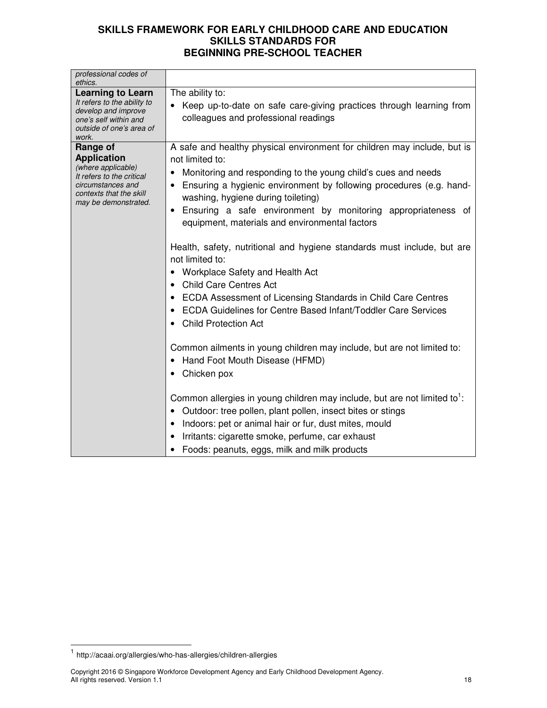| professional codes of<br>ethics.                                                                                                                          |                                                                                                                                                                                                                                                                                                                                                                                                                                                                                                                                                                                                                                                                                                                                                                                                                                                                                                                                                                                                                                                                                                                                                                                                    |
|-----------------------------------------------------------------------------------------------------------------------------------------------------------|----------------------------------------------------------------------------------------------------------------------------------------------------------------------------------------------------------------------------------------------------------------------------------------------------------------------------------------------------------------------------------------------------------------------------------------------------------------------------------------------------------------------------------------------------------------------------------------------------------------------------------------------------------------------------------------------------------------------------------------------------------------------------------------------------------------------------------------------------------------------------------------------------------------------------------------------------------------------------------------------------------------------------------------------------------------------------------------------------------------------------------------------------------------------------------------------------|
| <b>Learning to Learn</b><br>It refers to the ability to<br>develop and improve<br>one's self within and<br>outside of one's area of<br>work.              | The ability to:<br>Keep up-to-date on safe care-giving practices through learning from<br>colleagues and professional readings                                                                                                                                                                                                                                                                                                                                                                                                                                                                                                                                                                                                                                                                                                                                                                                                                                                                                                                                                                                                                                                                     |
| Range of<br><b>Application</b><br>(where applicable)<br>It refers to the critical<br>circumstances and<br>contexts that the skill<br>may be demonstrated. | A safe and healthy physical environment for children may include, but is<br>not limited to:<br>Monitoring and responding to the young child's cues and needs<br>Ensuring a hygienic environment by following procedures (e.g. hand-<br>washing, hygiene during toileting)<br>• Ensuring a safe environment by monitoring appropriateness of<br>equipment, materials and environmental factors<br>Health, safety, nutritional and hygiene standards must include, but are<br>not limited to:<br>Workplace Safety and Health Act<br>$\bullet$<br><b>Child Care Centres Act</b><br>ECDA Assessment of Licensing Standards in Child Care Centres<br><b>ECDA Guidelines for Centre Based Infant/Toddler Care Services</b><br><b>Child Protection Act</b><br>Common ailments in young children may include, but are not limited to:<br>Hand Foot Mouth Disease (HFMD)<br>Chicken pox<br>Common allergies in young children may include, but are not limited to <sup>1</sup> :<br>Outdoor: tree pollen, plant pollen, insect bites or stings<br>Indoors: pet or animal hair or fur, dust mites, mould<br>Irritants: cigarette smoke, perfume, car exhaust<br>Foods: peanuts, eggs, milk and milk products |

 1 http://acaai.org/allergies/who-has-allergies/children-allergies

Copyright 2016 © Singapore Workforce Development Agency and Early Childhood Development Agency. All rights reserved. Version 1.1 18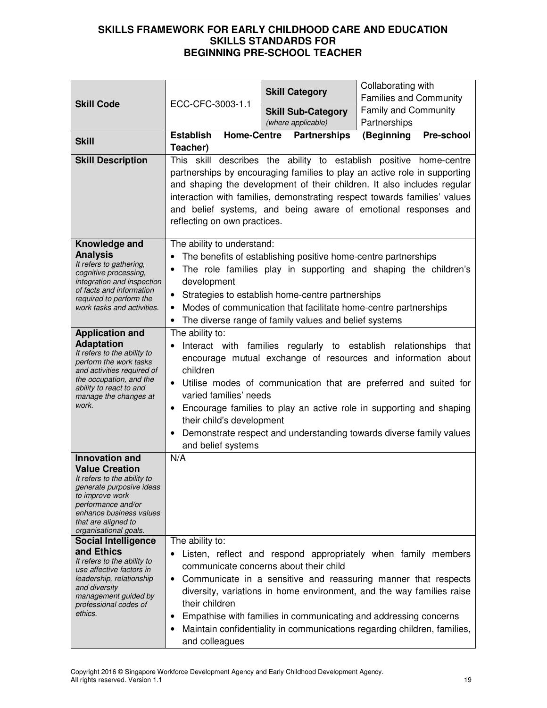| <b>Skill Code</b>                                                                                                                                                                                                             | ECC-CFC-3003-1.1                                                                                                                                                                                                                                                                                                                                                                                                                                                                                 | <b>Skill Category</b>                           | Collaborating with<br><b>Families and Community</b>                                                                                                                                                                                                                                                                                                      |
|-------------------------------------------------------------------------------------------------------------------------------------------------------------------------------------------------------------------------------|--------------------------------------------------------------------------------------------------------------------------------------------------------------------------------------------------------------------------------------------------------------------------------------------------------------------------------------------------------------------------------------------------------------------------------------------------------------------------------------------------|-------------------------------------------------|----------------------------------------------------------------------------------------------------------------------------------------------------------------------------------------------------------------------------------------------------------------------------------------------------------------------------------------------------------|
|                                                                                                                                                                                                                               |                                                                                                                                                                                                                                                                                                                                                                                                                                                                                                  | <b>Skill Sub-Category</b><br>(where applicable) | <b>Family and Community</b><br>Partnerships                                                                                                                                                                                                                                                                                                              |
| <b>Skill</b>                                                                                                                                                                                                                  | <b>Establish</b><br><b>Home-Centre</b><br>Teacher)                                                                                                                                                                                                                                                                                                                                                                                                                                               | <b>Partnerships</b>                             | (Beginning<br>Pre-school                                                                                                                                                                                                                                                                                                                                 |
| <b>Skill Description</b>                                                                                                                                                                                                      | describes the ability to establish positive home-centre<br>This skill<br>partnerships by encouraging families to play an active role in supporting<br>and shaping the development of their children. It also includes regular<br>interaction with families, demonstrating respect towards families' values<br>and belief systems, and being aware of emotional responses and<br>reflecting on own practices.                                                                                     |                                                 |                                                                                                                                                                                                                                                                                                                                                          |
| Knowledge and<br><b>Analysis</b><br>It refers to gathering,<br>cognitive processing,<br>integration and inspection<br>of facts and information<br>required to perform the<br>work tasks and activities.                       | The ability to understand:<br>The benefits of establishing positive home-centre partnerships<br>The role families play in supporting and shaping the children's<br>$\bullet$<br>development<br>Strategies to establish home-centre partnerships<br>$\bullet$<br>Modes of communication that facilitate home-centre partnerships<br>$\bullet$<br>The diverse range of family values and belief systems<br>$\bullet$                                                                               |                                                 |                                                                                                                                                                                                                                                                                                                                                          |
| <b>Application and</b><br><b>Adaptation</b><br>It refers to the ability to<br>perform the work tasks<br>and activities required of<br>the occupation, and the<br>ability to react to and<br>manage the changes at<br>work.    | The ability to:<br>Interact with families regularly to establish<br>relationships that<br>encourage mutual exchange of resources and information about<br>children<br>Utilise modes of communication that are preferred and suited for<br>$\bullet$<br>varied families' needs<br>Encourage families to play an active role in supporting and shaping<br>$\bullet$<br>their child's development<br>Demonstrate respect and understanding towards diverse family values<br>٠<br>and belief systems |                                                 |                                                                                                                                                                                                                                                                                                                                                          |
| <b>Innovation and</b><br><b>Value Creation</b><br>It refers to the ability to<br>generate purposive ideas<br>to improve work<br>performance and/or<br>enhance business values<br>that are aligned to<br>organisational goals. | N/A                                                                                                                                                                                                                                                                                                                                                                                                                                                                                              |                                                 |                                                                                                                                                                                                                                                                                                                                                          |
| <b>Social Intelligence</b><br>and Ethics<br>It refers to the ability to<br>use affective factors in<br>leadership, relationship<br>and diversity<br>management guided by<br>professional codes of<br>ethics.                  | The ability to:<br>$\bullet$<br>$\bullet$<br>their children<br>٠<br>٠<br>and colleagues                                                                                                                                                                                                                                                                                                                                                                                                          | communicate concerns about their child          | Listen, reflect and respond appropriately when family members<br>Communicate in a sensitive and reassuring manner that respects<br>diversity, variations in home environment, and the way families raise<br>Empathise with families in communicating and addressing concerns<br>Maintain confidentiality in communications regarding children, families, |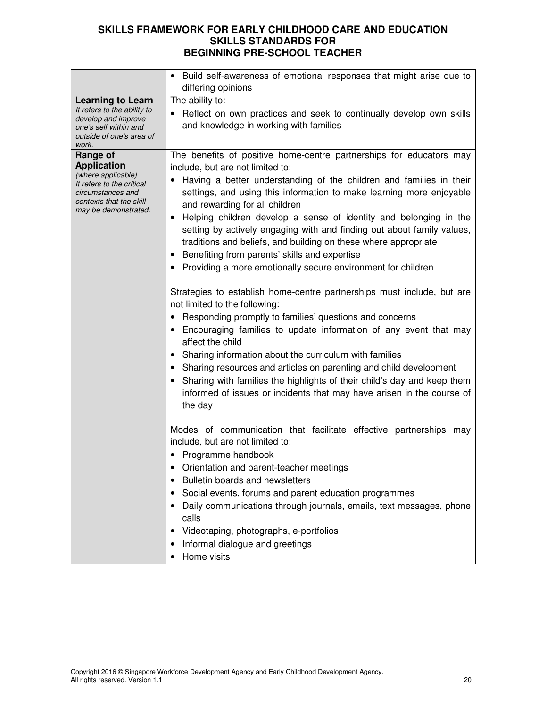|                                                                                                                                                           | Build self-awareness of emotional responses that might arise due to<br>differing opinions                                                                                                                                                                                                                                                                                                                                                                                                                                                                                                                                                                                                                                                                                                                                                                                                                                                                                                                                                                                                                                                                                                                |  |  |
|-----------------------------------------------------------------------------------------------------------------------------------------------------------|----------------------------------------------------------------------------------------------------------------------------------------------------------------------------------------------------------------------------------------------------------------------------------------------------------------------------------------------------------------------------------------------------------------------------------------------------------------------------------------------------------------------------------------------------------------------------------------------------------------------------------------------------------------------------------------------------------------------------------------------------------------------------------------------------------------------------------------------------------------------------------------------------------------------------------------------------------------------------------------------------------------------------------------------------------------------------------------------------------------------------------------------------------------------------------------------------------|--|--|
| <b>Learning to Learn</b><br>It refers to the ability to<br>develop and improve<br>one's self within and<br>outside of one's area of<br>work.              | The ability to:<br>Reflect on own practices and seek to continually develop own skills<br>and knowledge in working with families                                                                                                                                                                                                                                                                                                                                                                                                                                                                                                                                                                                                                                                                                                                                                                                                                                                                                                                                                                                                                                                                         |  |  |
| Range of<br><b>Application</b><br>(where applicable)<br>It refers to the critical<br>circumstances and<br>contexts that the skill<br>may be demonstrated. | The benefits of positive home-centre partnerships for educators may<br>include, but are not limited to:<br>Having a better understanding of the children and families in their<br>settings, and using this information to make learning more enjoyable<br>and rewarding for all children<br>Helping children develop a sense of identity and belonging in the<br>setting by actively engaging with and finding out about family values,<br>traditions and beliefs, and building on these where appropriate<br>• Benefiting from parents' skills and expertise<br>Providing a more emotionally secure environment for children<br>Strategies to establish home-centre partnerships must include, but are<br>not limited to the following:<br>Responding promptly to families' questions and concerns<br>Encouraging families to update information of any event that may<br>affect the child<br>Sharing information about the curriculum with families<br>$\bullet$<br>• Sharing resources and articles on parenting and child development<br>Sharing with families the highlights of their child's day and keep them<br>informed of issues or incidents that may have arisen in the course of<br>the day |  |  |
|                                                                                                                                                           | Modes of communication that facilitate effective partnerships may<br>include, but are not limited to:<br>• Programme handbook<br>• Orientation and parent-teacher meetings<br>Bulletin boards and newsletters<br>Social events, forums and parent education programmes<br>٠<br>Daily communications through journals, emails, text messages, phone<br>calls<br>Videotaping, photographs, e-portfolios<br>Informal dialogue and greetings<br>Home visits                                                                                                                                                                                                                                                                                                                                                                                                                                                                                                                                                                                                                                                                                                                                                  |  |  |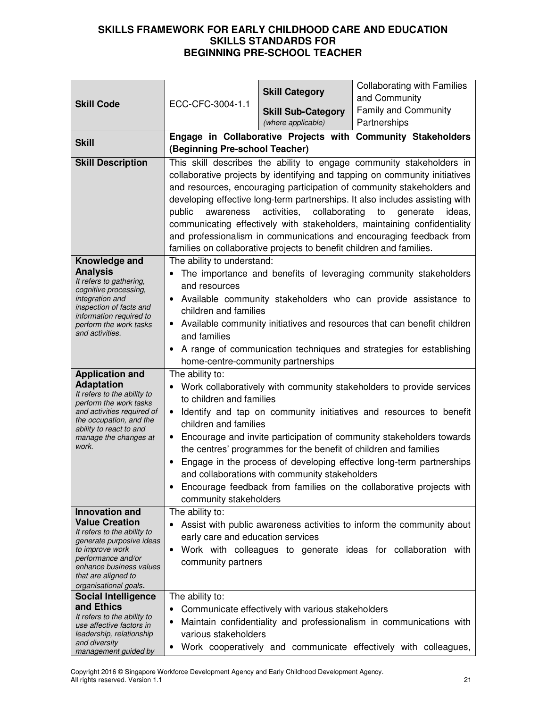| <b>Skill Code</b>                                       | ECC-CFC-3004-1.1                                                                                                                                      | <b>Skill Category</b>                                                | <b>Collaborating with Families</b><br>and Community                          |  |
|---------------------------------------------------------|-------------------------------------------------------------------------------------------------------------------------------------------------------|----------------------------------------------------------------------|------------------------------------------------------------------------------|--|
|                                                         |                                                                                                                                                       | <b>Skill Sub-Category</b>                                            | <b>Family and Community</b>                                                  |  |
|                                                         |                                                                                                                                                       | (where applicable)                                                   | Partnerships                                                                 |  |
| <b>Skill</b>                                            |                                                                                                                                                       |                                                                      | Engage in Collaborative Projects with Community Stakeholders                 |  |
|                                                         | (Beginning Pre-school Teacher)                                                                                                                        |                                                                      |                                                                              |  |
| <b>Skill Description</b>                                |                                                                                                                                                       |                                                                      | This skill describes the ability to engage community stakeholders in         |  |
|                                                         |                                                                                                                                                       |                                                                      | collaborative projects by identifying and tapping on community initiatives   |  |
|                                                         |                                                                                                                                                       |                                                                      | and resources, encouraging participation of community stakeholders and       |  |
|                                                         |                                                                                                                                                       |                                                                      | developing effective long-term partnerships. It also includes assisting with |  |
|                                                         | public                                                                                                                                                | awareness activities, collaborating                                  | to<br>generate<br>ideas,                                                     |  |
|                                                         |                                                                                                                                                       |                                                                      | communicating effectively with stakeholders, maintaining confidentiality     |  |
|                                                         |                                                                                                                                                       | families on collaborative projects to benefit children and families. | and professionalism in communications and encouraging feedback from          |  |
| Knowledge and                                           | The ability to understand:                                                                                                                            |                                                                      |                                                                              |  |
| <b>Analysis</b>                                         |                                                                                                                                                       |                                                                      | The importance and benefits of leveraging community stakeholders             |  |
| It refers to gathering,                                 | and resources                                                                                                                                         |                                                                      |                                                                              |  |
| cognitive processing,<br>integration and                | $\bullet$                                                                                                                                             |                                                                      | Available community stakeholders who can provide assistance to               |  |
| inspection of facts and<br>information required to      | children and families                                                                                                                                 |                                                                      |                                                                              |  |
| perform the work tasks                                  | $\bullet$                                                                                                                                             |                                                                      | Available community initiatives and resources that can benefit children      |  |
| and activities.                                         | and families                                                                                                                                          |                                                                      |                                                                              |  |
|                                                         | A range of communication techniques and strategies for establishing                                                                                   |                                                                      |                                                                              |  |
|                                                         | home-centre-community partnerships                                                                                                                    |                                                                      |                                                                              |  |
| <b>Application and</b>                                  | The ability to:                                                                                                                                       |                                                                      |                                                                              |  |
| <b>Adaptation</b><br>It refers to the ability to        | Work collaboratively with community stakeholders to provide services<br>$\bullet$<br>to children and families                                         |                                                                      |                                                                              |  |
| perform the work tasks                                  |                                                                                                                                                       |                                                                      |                                                                              |  |
| and activities required of<br>the occupation, and the   | Identify and tap on community initiatives and resources to benefit<br>$\bullet$<br>children and families                                              |                                                                      |                                                                              |  |
| ability to react to and<br>manage the changes at        | Encourage and invite participation of community stakeholders towards<br>$\bullet$<br>the centres' programmes for the benefit of children and families |                                                                      |                                                                              |  |
| work.                                                   |                                                                                                                                                       |                                                                      |                                                                              |  |
|                                                         | $\bullet$                                                                                                                                             |                                                                      | Engage in the process of developing effective long-term partnerships         |  |
|                                                         |                                                                                                                                                       | and collaborations with community stakeholders                       |                                                                              |  |
|                                                         |                                                                                                                                                       |                                                                      | Encourage feedback from families on the collaborative projects with          |  |
|                                                         | community stakeholders                                                                                                                                |                                                                      |                                                                              |  |
| <b>Innovation and</b>                                   | The ability to:                                                                                                                                       |                                                                      |                                                                              |  |
| <b>Value Creation</b><br>It refers to the ability to    |                                                                                                                                                       |                                                                      | Assist with public awareness activities to inform the community about        |  |
| generate purposive ideas                                | early care and education services                                                                                                                     |                                                                      |                                                                              |  |
| to improve work<br>performance and/or                   | $\bullet$                                                                                                                                             |                                                                      | Work with colleagues to generate ideas for collaboration with                |  |
| enhance business values                                 | community partners                                                                                                                                    |                                                                      |                                                                              |  |
| that are aligned to<br>organisational goals.            |                                                                                                                                                       |                                                                      |                                                                              |  |
| <b>Social Intelligence</b>                              | The ability to:                                                                                                                                       |                                                                      |                                                                              |  |
| and Ethics                                              | ٠                                                                                                                                                     | Communicate effectively with various stakeholders                    |                                                                              |  |
| It refers to the ability to<br>use affective factors in | $\bullet$                                                                                                                                             |                                                                      | Maintain confidentiality and professionalism in communications with          |  |
| leadership, relationship                                | various stakeholders                                                                                                                                  |                                                                      |                                                                              |  |
| and diversity<br>management guided by                   | $\bullet$                                                                                                                                             |                                                                      | Work cooperatively and communicate effectively with colleagues,              |  |

Copyright 2016 © Singapore Workforce Development Agency and Early Childhood Development Agency. All rights reserved. Version 1.1 21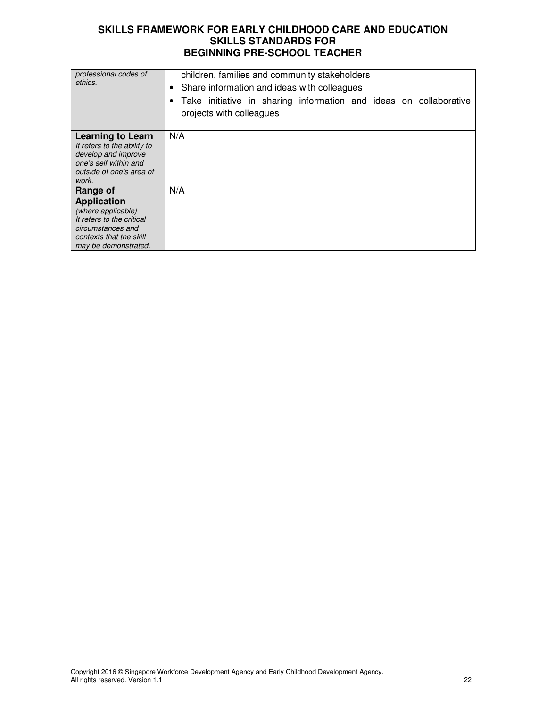| professional codes of<br>ethics.                                                                                                                          | children, families and community stakeholders<br>Share information and ideas with colleagues<br>٠<br>Take initiative in sharing information and ideas on collaborative<br>projects with colleagues |  |  |  |
|-----------------------------------------------------------------------------------------------------------------------------------------------------------|----------------------------------------------------------------------------------------------------------------------------------------------------------------------------------------------------|--|--|--|
| <b>Learning to Learn</b><br>It refers to the ability to<br>develop and improve<br>one's self within and<br>outside of one's area of<br>work.              | N/A                                                                                                                                                                                                |  |  |  |
| Range of<br><b>Application</b><br>(where applicable)<br>It refers to the critical<br>circumstances and<br>contexts that the skill<br>may be demonstrated. | N/A                                                                                                                                                                                                |  |  |  |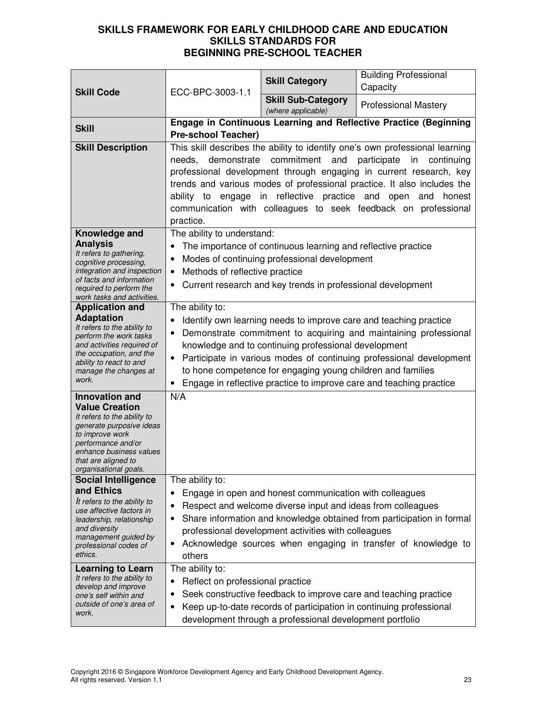| <b>Skill Code</b>                                                                                                                                                                                                             | ECC-BPC-3003-1.1                                                                                                                                                                                                                                                                                                                                                                                                                                     | <b>Skill Category</b>                                                                                                                                                         | <b>Building Professional</b><br>Capacity                                                                                                |
|-------------------------------------------------------------------------------------------------------------------------------------------------------------------------------------------------------------------------------|------------------------------------------------------------------------------------------------------------------------------------------------------------------------------------------------------------------------------------------------------------------------------------------------------------------------------------------------------------------------------------------------------------------------------------------------------|-------------------------------------------------------------------------------------------------------------------------------------------------------------------------------|-----------------------------------------------------------------------------------------------------------------------------------------|
|                                                                                                                                                                                                                               |                                                                                                                                                                                                                                                                                                                                                                                                                                                      | <b>Skill Sub-Category</b><br>(where applicable)                                                                                                                               | <b>Professional Mastery</b>                                                                                                             |
| <b>Skill</b>                                                                                                                                                                                                                  | <b>Pre-school Teacher)</b>                                                                                                                                                                                                                                                                                                                                                                                                                           |                                                                                                                                                                               | Engage in Continuous Learning and Reflective Practice (Beginning                                                                        |
| <b>Skill Description</b>                                                                                                                                                                                                      | This skill describes the ability to identify one's own professional learning<br>needs, demonstrate commitment and participate<br>in<br>continuing<br>professional development through engaging in current research, key<br>trends and various modes of professional practice. It also includes the<br>ability to engage in reflective practice and open and<br>honest<br>communication with colleagues to seek feedback on professional<br>practice. |                                                                                                                                                                               |                                                                                                                                         |
| Knowledge and<br><b>Analysis</b><br>It refers to gathering,<br>cognitive processing,<br>integration and inspection<br>of facts and information<br>required to perform the<br>work tasks and activities.                       | The ability to understand:<br>The importance of continuous learning and reflective practice<br>Modes of continuing professional development<br>$\bullet$<br>Methods of reflective practice<br>$\bullet$<br>Current research and key trends in professional development                                                                                                                                                                               |                                                                                                                                                                               |                                                                                                                                         |
| <b>Application and</b><br><b>Adaptation</b><br>It refers to the ability to<br>perform the work tasks<br>and activities required of<br>the occupation, and the<br>ability to react to and<br>manage the changes at<br>work.    | The ability to:<br>Identify own learning needs to improve care and teaching practice<br>Demonstrate commitment to acquiring and maintaining professional<br>knowledge and to continuing professional development<br>Participate in various modes of continuing professional development<br>to hone competence for engaging young children and families<br>Engage in reflective practice to improve care and teaching practice<br>$\bullet$           |                                                                                                                                                                               |                                                                                                                                         |
| <b>Innovation and</b><br><b>Value Creation</b><br>It refers to the ability to<br>generate purposive ideas<br>to improve work<br>performance and/or<br>enhance business values<br>that are aligned to<br>organisational goals. | N/A                                                                                                                                                                                                                                                                                                                                                                                                                                                  |                                                                                                                                                                               |                                                                                                                                         |
| <b>Social Intelligence</b><br>and Ethics<br>It refers to the ability to<br>use affective factors in<br>leadership, relationship<br>and diversity<br>management guided by<br>professional codes of<br>ethics.                  | The ability to:<br>٠<br>٠<br>$\bullet$<br>others                                                                                                                                                                                                                                                                                                                                                                                                     | Engage in open and honest communication with colleagues<br>Respect and welcome diverse input and ideas from colleagues<br>professional development activities with colleagues | Share information and knowledge obtained from participation in formal<br>Acknowledge sources when engaging in transfer of knowledge to  |
| <b>Learning to Learn</b><br>It refers to the ability to<br>develop and improve<br>one's self within and<br>outside of one's area of<br>work.                                                                                  | The ability to:<br>Reflect on professional practice<br>$\bullet$                                                                                                                                                                                                                                                                                                                                                                                     | development through a professional development portfolio                                                                                                                      | Seek constructive feedback to improve care and teaching practice<br>Keep up-to-date records of participation in continuing professional |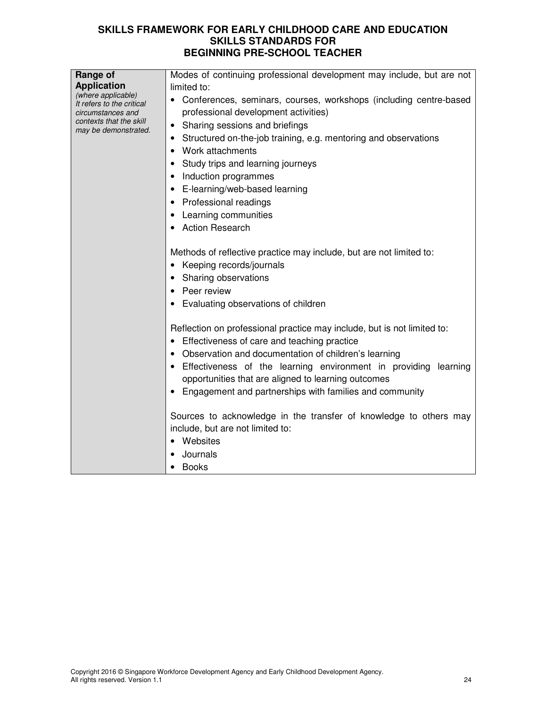| Range of                                                             | Modes of continuing professional development may include, but are not                                       |  |  |
|----------------------------------------------------------------------|-------------------------------------------------------------------------------------------------------------|--|--|
| <b>Application</b>                                                   | limited to:                                                                                                 |  |  |
| (where applicable)<br>It refers to the critical<br>circumstances and | • Conferences, seminars, courses, workshops (including centre-based<br>professional development activities) |  |  |
| contexts that the skill<br>may be demonstrated.                      | Sharing sessions and briefings<br>$\bullet$                                                                 |  |  |
|                                                                      | Structured on-the-job training, e.g. mentoring and observations                                             |  |  |
|                                                                      | Work attachments                                                                                            |  |  |
|                                                                      | Study trips and learning journeys                                                                           |  |  |
|                                                                      | Induction programmes                                                                                        |  |  |
|                                                                      | E-learning/web-based learning                                                                               |  |  |
|                                                                      | • Professional readings                                                                                     |  |  |
|                                                                      | Learning communities                                                                                        |  |  |
|                                                                      | <b>Action Research</b>                                                                                      |  |  |
|                                                                      |                                                                                                             |  |  |
|                                                                      | Methods of reflective practice may include, but are not limited to:                                         |  |  |
|                                                                      | Keeping records/journals                                                                                    |  |  |
|                                                                      | • Sharing observations                                                                                      |  |  |
|                                                                      | Peer review                                                                                                 |  |  |
|                                                                      | Evaluating observations of children                                                                         |  |  |
|                                                                      |                                                                                                             |  |  |
|                                                                      | Reflection on professional practice may include, but is not limited to:                                     |  |  |
|                                                                      | Effectiveness of care and teaching practice                                                                 |  |  |
|                                                                      | Observation and documentation of children's learning                                                        |  |  |
|                                                                      | Effectiveness of the learning environment in providing<br>learning                                          |  |  |
|                                                                      | opportunities that are aligned to learning outcomes                                                         |  |  |
|                                                                      | Engagement and partnerships with families and community                                                     |  |  |
|                                                                      |                                                                                                             |  |  |
|                                                                      | Sources to acknowledge in the transfer of knowledge to others may                                           |  |  |
|                                                                      | include, but are not limited to:                                                                            |  |  |
|                                                                      | Websites                                                                                                    |  |  |
|                                                                      | Journals                                                                                                    |  |  |
|                                                                      | <b>Books</b>                                                                                                |  |  |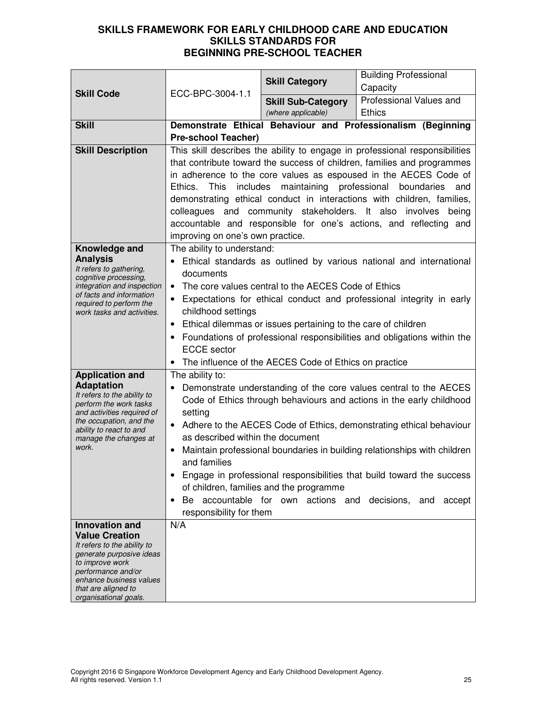| <b>Skill Code</b>                                                                                                                                                                                                             | ECC-BPC-3004-1.1                                                                                                                                                                                                                                                                                                                                                                                                                                                                                                                                                                                                                                | <b>Skill Category</b>                           | <b>Building Professional</b><br>Capacity                     |
|-------------------------------------------------------------------------------------------------------------------------------------------------------------------------------------------------------------------------------|-------------------------------------------------------------------------------------------------------------------------------------------------------------------------------------------------------------------------------------------------------------------------------------------------------------------------------------------------------------------------------------------------------------------------------------------------------------------------------------------------------------------------------------------------------------------------------------------------------------------------------------------------|-------------------------------------------------|--------------------------------------------------------------|
|                                                                                                                                                                                                                               |                                                                                                                                                                                                                                                                                                                                                                                                                                                                                                                                                                                                                                                 | <b>Skill Sub-Category</b><br>(where applicable) | Professional Values and<br><b>Ethics</b>                     |
| <b>Skill</b>                                                                                                                                                                                                                  | <b>Pre-school Teacher)</b>                                                                                                                                                                                                                                                                                                                                                                                                                                                                                                                                                                                                                      |                                                 | Demonstrate Ethical Behaviour and Professionalism (Beginning |
| <b>Skill Description</b>                                                                                                                                                                                                      | This skill describes the ability to engage in professional responsibilities<br>that contribute toward the success of children, families and programmes<br>in adherence to the core values as espoused in the AECES Code of<br>maintaining professional<br>This<br>includes<br>boundaries<br>Ethics.<br>and<br>demonstrating ethical conduct in interactions with children, families,<br>colleagues and community stakeholders. It also involves<br>being<br>accountable and responsible for one's actions, and reflecting and<br>improving on one's own practice.                                                                               |                                                 |                                                              |
| Knowledge and<br><b>Analysis</b><br>It refers to gathering,<br>cognitive processing,<br>integration and inspection<br>of facts and information<br>required to perform the<br>work tasks and activities.                       | The ability to understand:<br>Ethical standards as outlined by various national and international<br>documents<br>The core values central to the AECES Code of Ethics<br>$\bullet$<br>Expectations for ethical conduct and professional integrity in early<br>$\bullet$<br>childhood settings<br>Ethical dilemmas or issues pertaining to the care of children<br>$\bullet$<br>• Foundations of professional responsibilities and obligations within the<br><b>ECCE</b> sector<br>The influence of the AECES Code of Ethics on practice                                                                                                         |                                                 |                                                              |
| <b>Application and</b><br><b>Adaptation</b><br>It refers to the ability to<br>perform the work tasks<br>and activities required of<br>the occupation, and the<br>ability to react to and<br>manage the changes at<br>work.    | The ability to:<br>Demonstrate understanding of the core values central to the AECES<br>$\bullet$<br>Code of Ethics through behaviours and actions in the early childhood<br>setting<br>Adhere to the AECES Code of Ethics, demonstrating ethical behaviour<br>$\bullet$<br>as described within the document<br>Maintain professional boundaries in building relationships with children<br>and families<br>Engage in professional responsibilities that build toward the success<br>of children, families and the programme<br>accountable for own actions<br>and<br>decisions,<br>Be<br>accept<br>and<br>$\bullet$<br>responsibility for them |                                                 |                                                              |
| <b>Innovation and</b><br><b>Value Creation</b><br>It refers to the ability to<br>generate purposive ideas<br>to improve work<br>performance and/or<br>enhance business values<br>that are aligned to<br>organisational goals. | N/A                                                                                                                                                                                                                                                                                                                                                                                                                                                                                                                                                                                                                                             |                                                 |                                                              |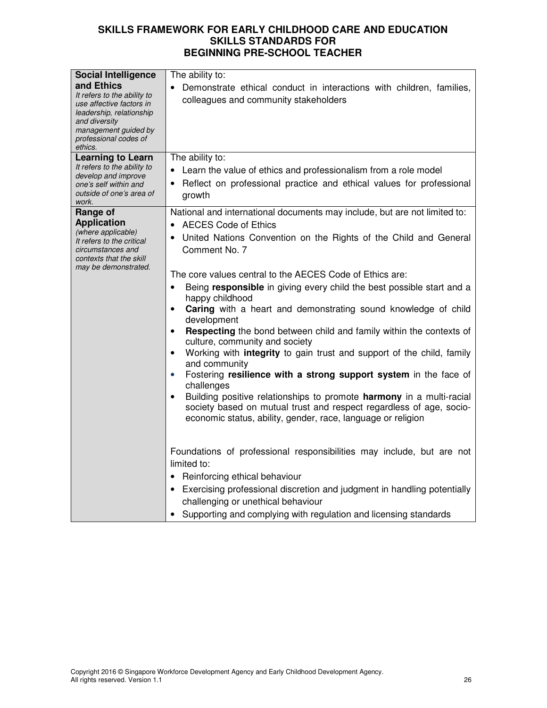|                                                                                                                                                                                                              | The ability to:                                                                                                                                                                                                          |
|--------------------------------------------------------------------------------------------------------------------------------------------------------------------------------------------------------------|--------------------------------------------------------------------------------------------------------------------------------------------------------------------------------------------------------------------------|
| <b>Social Intelligence</b><br>and Ethics<br>It refers to the ability to<br>use affective factors in<br>leadership, relationship<br>and diversity<br>management guided by<br>professional codes of<br>ethics. | Demonstrate ethical conduct in interactions with children, families,<br>colleagues and community stakeholders                                                                                                            |
| <b>Learning to Learn</b>                                                                                                                                                                                     | The ability to:                                                                                                                                                                                                          |
| It refers to the ability to<br>develop and improve<br>one's self within and<br>outside of one's area of<br>work.                                                                                             | Learn the value of ethics and professionalism from a role model<br>Reflect on professional practice and ethical values for professional<br>growth                                                                        |
| Range of<br><b>Application</b>                                                                                                                                                                               | National and international documents may include, but are not limited to:<br><b>AECES Code of Ethics</b>                                                                                                                 |
| (where applicable)<br>It refers to the critical<br>circumstances and<br>contexts that the skill                                                                                                              | United Nations Convention on the Rights of the Child and General<br>Comment No. 7                                                                                                                                        |
| may be demonstrated.                                                                                                                                                                                         | The core values central to the AECES Code of Ethics are:                                                                                                                                                                 |
|                                                                                                                                                                                                              | Being responsible in giving every child the best possible start and a<br>$\bullet$<br>happy childhood                                                                                                                    |
|                                                                                                                                                                                                              | Caring with a heart and demonstrating sound knowledge of child<br>development                                                                                                                                            |
|                                                                                                                                                                                                              | Respecting the bond between child and family within the contexts of<br>$\bullet$<br>culture, community and society                                                                                                       |
|                                                                                                                                                                                                              | Working with integrity to gain trust and support of the child, family<br>$\bullet$<br>and community                                                                                                                      |
|                                                                                                                                                                                                              | Fostering resilience with a strong support system in the face of<br>$\bullet$<br>challenges                                                                                                                              |
|                                                                                                                                                                                                              | Building positive relationships to promote harmony in a multi-racial<br>$\bullet$<br>society based on mutual trust and respect regardless of age, socio-<br>economic status, ability, gender, race, language or religion |
|                                                                                                                                                                                                              |                                                                                                                                                                                                                          |
|                                                                                                                                                                                                              | Foundations of professional responsibilities may include, but are not<br>limited to:                                                                                                                                     |
|                                                                                                                                                                                                              | Reinforcing ethical behaviour<br>$\bullet$                                                                                                                                                                               |
|                                                                                                                                                                                                              | Exercising professional discretion and judgment in handling potentially<br>challenging or unethical behaviour                                                                                                            |
|                                                                                                                                                                                                              | Supporting and complying with regulation and licensing standards                                                                                                                                                         |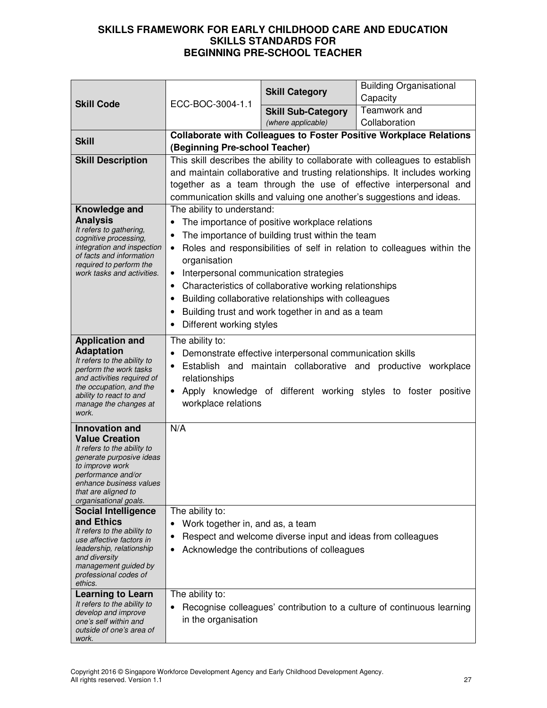| <b>Skill Code</b>                                       | ECC-BOC-3004-1.1                                                                                                                           | <b>Skill Category</b>                                       | <b>Building Organisational</b><br>Capacity                                |
|---------------------------------------------------------|--------------------------------------------------------------------------------------------------------------------------------------------|-------------------------------------------------------------|---------------------------------------------------------------------------|
|                                                         |                                                                                                                                            | <b>Skill Sub-Category</b>                                   | Teamwork and                                                              |
|                                                         |                                                                                                                                            | (where applicable)                                          | Collaboration                                                             |
| <b>Skill</b>                                            |                                                                                                                                            |                                                             | <b>Collaborate with Colleagues to Foster Positive Workplace Relations</b> |
|                                                         | (Beginning Pre-school Teacher)                                                                                                             |                                                             |                                                                           |
| <b>Skill Description</b>                                | This skill describes the ability to collaborate with colleagues to establish                                                               |                                                             |                                                                           |
|                                                         | and maintain collaborative and trusting relationships. It includes working                                                                 |                                                             |                                                                           |
|                                                         | together as a team through the use of effective interpersonal and<br>communication skills and valuing one another's suggestions and ideas. |                                                             |                                                                           |
| Knowledge and                                           | The ability to understand:                                                                                                                 |                                                             |                                                                           |
| <b>Analysis</b>                                         | $\bullet$                                                                                                                                  | The importance of positive workplace relations              |                                                                           |
| It refers to gathering,                                 | $\bullet$                                                                                                                                  | The importance of building trust within the team            |                                                                           |
| cognitive processing,<br>integration and inspection     | ٠                                                                                                                                          |                                                             | Roles and responsibilities of self in relation to colleagues within the   |
| of facts and information                                | organisation                                                                                                                               |                                                             |                                                                           |
| required to perform the<br>work tasks and activities.   | $\bullet$                                                                                                                                  | Interpersonal communication strategies                      |                                                                           |
|                                                         | $\bullet$                                                                                                                                  | Characteristics of collaborative working relationships      |                                                                           |
|                                                         |                                                                                                                                            | Building collaborative relationships with colleagues        |                                                                           |
|                                                         | $\bullet$                                                                                                                                  | Building trust and work together in and as a team           |                                                                           |
|                                                         | Different working styles<br>٠                                                                                                              |                                                             |                                                                           |
| <b>Application and</b>                                  | The ability to:                                                                                                                            |                                                             |                                                                           |
| <b>Adaptation</b><br>It refers to the ability to        | ٠                                                                                                                                          | Demonstrate effective interpersonal communication skills    |                                                                           |
| perform the work tasks                                  | $\bullet$                                                                                                                                  |                                                             | Establish and maintain collaborative and productive workplace             |
| and activities required of<br>the occupation, and the   | relationships                                                                                                                              |                                                             |                                                                           |
| ability to react to and                                 | $\bullet$                                                                                                                                  |                                                             | Apply knowledge of different working styles to foster positive            |
| manage the changes at<br>work.                          | workplace relations                                                                                                                        |                                                             |                                                                           |
| <b>Innovation and</b>                                   | N/A                                                                                                                                        |                                                             |                                                                           |
| <b>Value Creation</b>                                   |                                                                                                                                            |                                                             |                                                                           |
| It refers to the ability to<br>generate purposive ideas |                                                                                                                                            |                                                             |                                                                           |
| to improve work                                         |                                                                                                                                            |                                                             |                                                                           |
| performance and/or<br>enhance business values           |                                                                                                                                            |                                                             |                                                                           |
| that are aligned to                                     |                                                                                                                                            |                                                             |                                                                           |
| organisational goals.<br><b>Social Intelligence</b>     | The ability to:                                                                                                                            |                                                             |                                                                           |
| and Ethics                                              | Work together in, and as, a team<br>$\bullet$                                                                                              |                                                             |                                                                           |
| It refers to the ability to                             | ٠                                                                                                                                          | Respect and welcome diverse input and ideas from colleagues |                                                                           |
| use affective factors in<br>leadership, relationship    | ٠                                                                                                                                          | Acknowledge the contributions of colleagues                 |                                                                           |
| and diversity<br>management guided by                   |                                                                                                                                            |                                                             |                                                                           |
| professional codes of                                   |                                                                                                                                            |                                                             |                                                                           |
| ethics.                                                 | The ability to:                                                                                                                            |                                                             |                                                                           |
| <b>Learning to Learn</b><br>It refers to the ability to | $\bullet$                                                                                                                                  |                                                             | Recognise colleagues' contribution to a culture of continuous learning    |
| develop and improve<br>one's self within and            | in the organisation                                                                                                                        |                                                             |                                                                           |
| outside of one's area of                                |                                                                                                                                            |                                                             |                                                                           |
| work.                                                   |                                                                                                                                            |                                                             |                                                                           |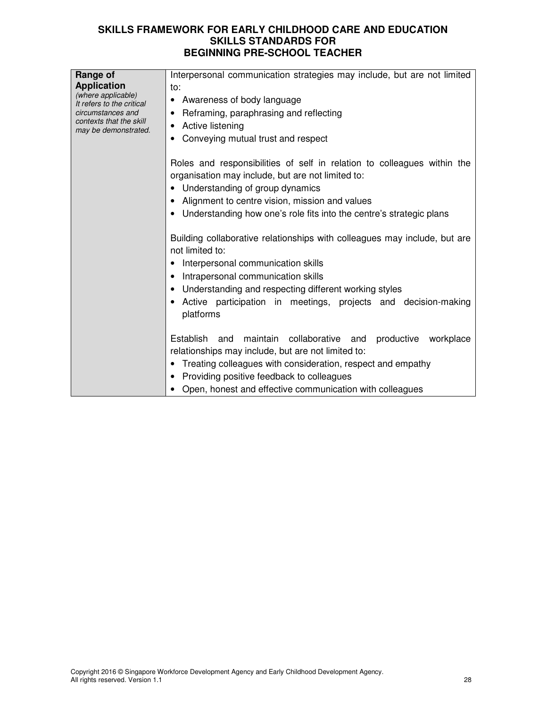| Range of<br><b>Application</b><br>(where applicable)<br>It refers to the critical<br>circumstances and<br>contexts that the skill<br>may be demonstrated. | Interpersonal communication strategies may include, but are not limited<br>to:<br>Awareness of body language<br>٠<br>Reframing, paraphrasing and reflecting<br>٠<br>Active listening<br>Conveying mutual trust and respect                                                                                       |
|-----------------------------------------------------------------------------------------------------------------------------------------------------------|------------------------------------------------------------------------------------------------------------------------------------------------------------------------------------------------------------------------------------------------------------------------------------------------------------------|
|                                                                                                                                                           | Roles and responsibilities of self in relation to colleagues within the<br>organisation may include, but are not limited to:<br>• Understanding of group dynamics<br>Alignment to centre vision, mission and values<br>Understanding how one's role fits into the centre's strategic plans                       |
|                                                                                                                                                           | Building collaborative relationships with colleagues may include, but are<br>not limited to:<br>Interpersonal communication skills<br>Intrapersonal communication skills<br>Understanding and respecting different working styles<br>Active participation in meetings, projects and decision-making<br>platforms |
|                                                                                                                                                           | maintain collaborative and<br>Establish and<br>productive<br>workplace<br>relationships may include, but are not limited to:<br>Treating colleagues with consideration, respect and empathy<br>Providing positive feedback to colleagues<br>Open, honest and effective communication with colleagues             |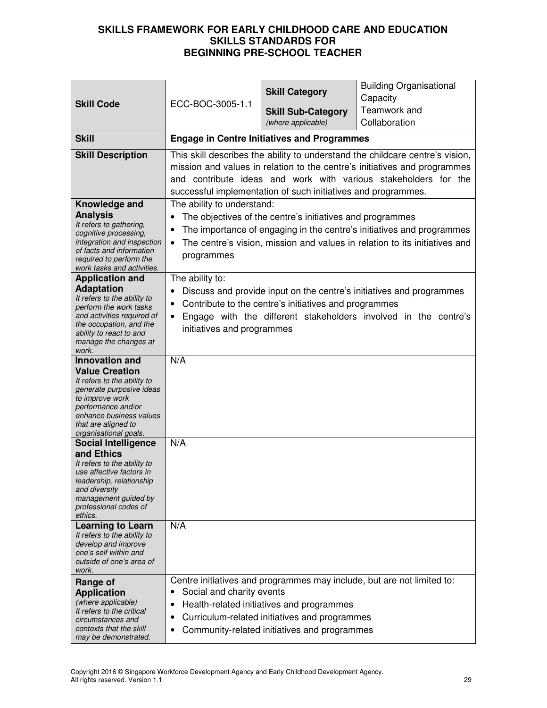| <b>Skill Code</b>                                                                                                                                                                                                             | ECC-BOC-3005-1.1                                                                                                                                                                                                                                                                               | <b>Skill Category</b>                                                                                                                      | <b>Building Organisational</b><br>Capacity                                                                                                          |
|-------------------------------------------------------------------------------------------------------------------------------------------------------------------------------------------------------------------------------|------------------------------------------------------------------------------------------------------------------------------------------------------------------------------------------------------------------------------------------------------------------------------------------------|--------------------------------------------------------------------------------------------------------------------------------------------|-----------------------------------------------------------------------------------------------------------------------------------------------------|
|                                                                                                                                                                                                                               |                                                                                                                                                                                                                                                                                                | <b>Skill Sub-Category</b><br>(where applicable)                                                                                            | Teamwork and<br>Collaboration                                                                                                                       |
|                                                                                                                                                                                                                               |                                                                                                                                                                                                                                                                                                |                                                                                                                                            |                                                                                                                                                     |
| <b>Skill</b>                                                                                                                                                                                                                  |                                                                                                                                                                                                                                                                                                | <b>Engage in Centre Initiatives and Programmes</b>                                                                                         |                                                                                                                                                     |
| <b>Skill Description</b>                                                                                                                                                                                                      | This skill describes the ability to understand the childcare centre's vision,<br>mission and values in relation to the centre's initiatives and programmes<br>and contribute ideas and work with various stakeholders for the<br>successful implementation of such initiatives and programmes. |                                                                                                                                            |                                                                                                                                                     |
| Knowledge and<br><b>Analysis</b><br>It refers to gathering,<br>cognitive processing,<br>integration and inspection<br>of facts and information<br>required to perform the<br>work tasks and activities.                       | The ability to understand:<br>$\bullet$<br>$\bullet$<br>programmes                                                                                                                                                                                                                             | The objectives of the centre's initiatives and programmes                                                                                  | The importance of engaging in the centre's initiatives and programmes<br>The centre's vision, mission and values in relation to its initiatives and |
| <b>Application and</b><br><b>Adaptation</b><br>It refers to the ability to<br>perform the work tasks<br>and activities required of<br>the occupation, and the<br>ability to react to and<br>manage the changes at<br>work.    | The ability to:<br>٠<br>٠<br>initiatives and programmes                                                                                                                                                                                                                                        | Contribute to the centre's initiatives and programmes                                                                                      | Discuss and provide input on the centre's initiatives and programmes<br>Engage with the different stakeholders involved in the centre's             |
| <b>Innovation and</b><br><b>Value Creation</b><br>It refers to the ability to<br>generate purposive ideas<br>to improve work<br>performance and/or<br>enhance business values<br>that are aligned to<br>organisational goals. | N/A                                                                                                                                                                                                                                                                                            |                                                                                                                                            |                                                                                                                                                     |
| <b>Social Intelligence</b><br>and Ethics<br>It refers to the ability to<br>use affective factors in<br>leadership, relationship<br>and diversity<br>management guided by<br>professional codes of<br>ethics.                  | N/A                                                                                                                                                                                                                                                                                            |                                                                                                                                            |                                                                                                                                                     |
| <b>Learning to Learn</b><br>It refers to the ability to<br>develop and improve<br>one's self within and<br>outside of one's area of<br>work.                                                                                  | N/A                                                                                                                                                                                                                                                                                            |                                                                                                                                            |                                                                                                                                                     |
| Range of<br><b>Application</b><br>(where applicable)<br>It refers to the critical<br>circumstances and<br>contexts that the skill<br>may be demonstrated.                                                                     | Social and charity events<br>٠<br>٠<br>٠                                                                                                                                                                                                                                                       | Health-related initiatives and programmes<br>Curriculum-related initiatives and programmes<br>Community-related initiatives and programmes | Centre initiatives and programmes may include, but are not limited to:                                                                              |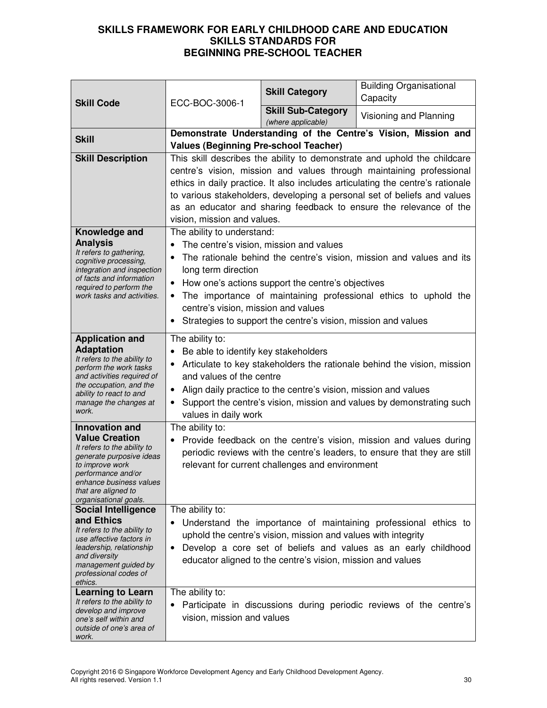| <b>Skill Code</b>                                       | ECC-BOC-3006-1                                                                                                                                                                                   | <b>Skill Category</b>                                         | <b>Building Organisational</b><br>Capacity                                                                                                      |
|---------------------------------------------------------|--------------------------------------------------------------------------------------------------------------------------------------------------------------------------------------------------|---------------------------------------------------------------|-------------------------------------------------------------------------------------------------------------------------------------------------|
|                                                         |                                                                                                                                                                                                  | <b>Skill Sub-Category</b><br>(where applicable)               | Visioning and Planning                                                                                                                          |
| <b>Skill</b>                                            |                                                                                                                                                                                                  |                                                               | Demonstrate Understanding of the Centre's Vision, Mission and                                                                                   |
| <b>Skill Description</b>                                | <b>Values (Beginning Pre-school Teacher)</b>                                                                                                                                                     |                                                               |                                                                                                                                                 |
|                                                         | This skill describes the ability to demonstrate and uphold the childcare<br>centre's vision, mission and values through maintaining professional                                                 |                                                               |                                                                                                                                                 |
|                                                         |                                                                                                                                                                                                  |                                                               | ethics in daily practice. It also includes articulating the centre's rationale                                                                  |
|                                                         |                                                                                                                                                                                                  |                                                               | to various stakeholders, developing a personal set of beliefs and values                                                                        |
|                                                         |                                                                                                                                                                                                  |                                                               | as an educator and sharing feedback to ensure the relevance of the                                                                              |
|                                                         | vision, mission and values.                                                                                                                                                                      |                                                               |                                                                                                                                                 |
| Knowledge and<br><b>Analysis</b>                        | The ability to understand:                                                                                                                                                                       | The centre's vision, mission and values                       |                                                                                                                                                 |
| It refers to gathering,                                 | $\bullet$                                                                                                                                                                                        |                                                               | The rationale behind the centre's vision, mission and values and its                                                                            |
| cognitive processing,<br>integration and inspection     | long term direction                                                                                                                                                                              |                                                               |                                                                                                                                                 |
| of facts and information<br>required to perform the     | $\bullet$                                                                                                                                                                                        | How one's actions support the centre's objectives             |                                                                                                                                                 |
| work tasks and activities.                              | $\bullet$                                                                                                                                                                                        |                                                               | The importance of maintaining professional ethics to uphold the                                                                                 |
|                                                         | centre's vision, mission and values                                                                                                                                                              |                                                               |                                                                                                                                                 |
|                                                         | $\bullet$                                                                                                                                                                                        | Strategies to support the centre's vision, mission and values |                                                                                                                                                 |
| <b>Application and</b>                                  | The ability to:                                                                                                                                                                                  |                                                               |                                                                                                                                                 |
| <b>Adaptation</b><br>It refers to the ability to        | Be able to identify key stakeholders<br>$\bullet$                                                                                                                                                |                                                               |                                                                                                                                                 |
| perform the work tasks<br>and activities required of    | Articulate to key stakeholders the rationale behind the vision, mission<br>$\bullet$<br>and values of the centre<br>Align daily practice to the centre's vision, mission and values<br>$\bullet$ |                                                               |                                                                                                                                                 |
| the occupation, and the                                 |                                                                                                                                                                                                  |                                                               |                                                                                                                                                 |
| ability to react to and<br>manage the changes at        | Support the centre's vision, mission and values by demonstrating such                                                                                                                            |                                                               |                                                                                                                                                 |
| work.                                                   | values in daily work                                                                                                                                                                             |                                                               |                                                                                                                                                 |
| <b>Innovation and</b><br><b>Value Creation</b>          | The ability to:                                                                                                                                                                                  |                                                               |                                                                                                                                                 |
| It refers to the ability to                             |                                                                                                                                                                                                  |                                                               | Provide feedback on the centre's vision, mission and values during<br>periodic reviews with the centre's leaders, to ensure that they are still |
| generate purposive ideas<br>to improve work             |                                                                                                                                                                                                  | relevant for current challenges and environment               |                                                                                                                                                 |
| performance and/or<br>enhance business values           |                                                                                                                                                                                                  |                                                               |                                                                                                                                                 |
| that are aligned to                                     |                                                                                                                                                                                                  |                                                               |                                                                                                                                                 |
| organisational goals.<br><b>Social Intelligence</b>     | The ability to:                                                                                                                                                                                  |                                                               |                                                                                                                                                 |
| and Ethics                                              |                                                                                                                                                                                                  |                                                               | Understand the importance of maintaining professional ethics to                                                                                 |
| It refers to the ability to<br>use affective factors in |                                                                                                                                                                                                  | uphold the centre's vision, mission and values with integrity |                                                                                                                                                 |
| leadership, relationship<br>and diversity               | $\bullet$                                                                                                                                                                                        |                                                               | Develop a core set of beliefs and values as an early childhood                                                                                  |
| management guided by                                    |                                                                                                                                                                                                  | educator aligned to the centre's vision, mission and values   |                                                                                                                                                 |
| professional codes of<br>ethics.                        |                                                                                                                                                                                                  |                                                               |                                                                                                                                                 |
| <b>Learning to Learn</b><br>It refers to the ability to | The ability to:                                                                                                                                                                                  |                                                               |                                                                                                                                                 |
| develop and improve                                     |                                                                                                                                                                                                  |                                                               | Participate in discussions during periodic reviews of the centre's                                                                              |
| one's self within and<br>outside of one's area of       | vision, mission and values                                                                                                                                                                       |                                                               |                                                                                                                                                 |
| work.                                                   |                                                                                                                                                                                                  |                                                               |                                                                                                                                                 |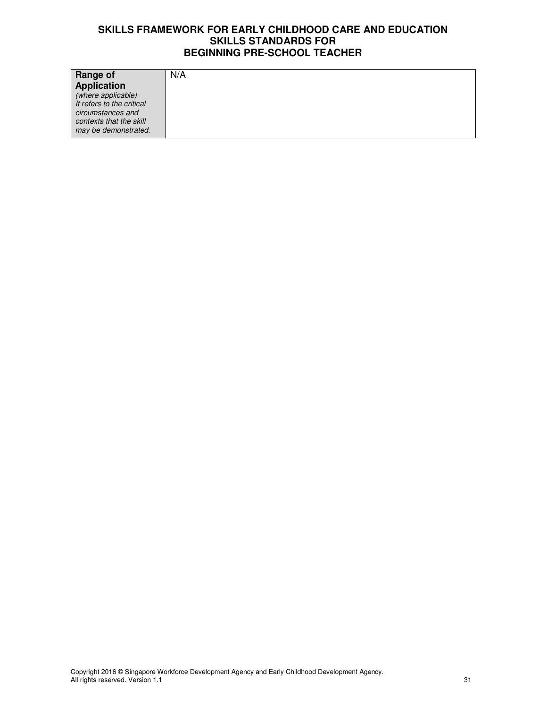| Range of                  | N/A |
|---------------------------|-----|
| <b>Application</b>        |     |
| (where applicable)        |     |
| It refers to the critical |     |
| circumstances and         |     |
| contexts that the skill   |     |
| may be demonstrated.      |     |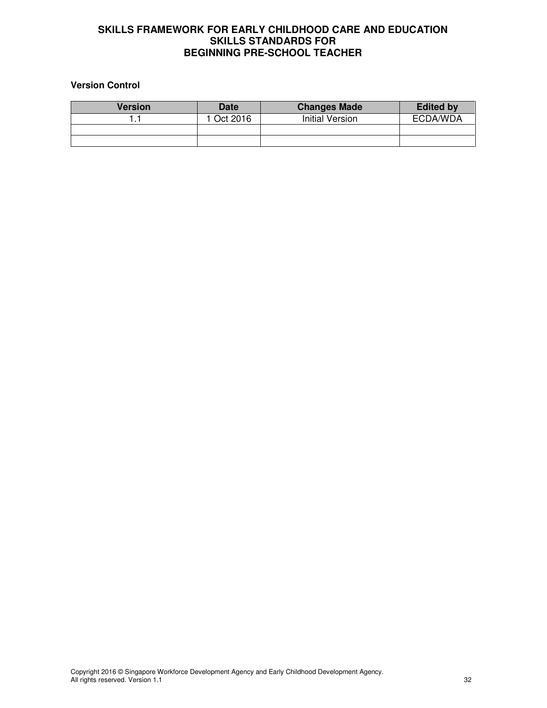# **Version Control**

| <b>Version</b> | <b>Date</b> | <b>Changes Made</b> | <b>Edited by</b> |
|----------------|-------------|---------------------|------------------|
|                | Oct 2016    | Initial Version     | ECDA/WDA         |
|                |             |                     |                  |
|                |             |                     |                  |